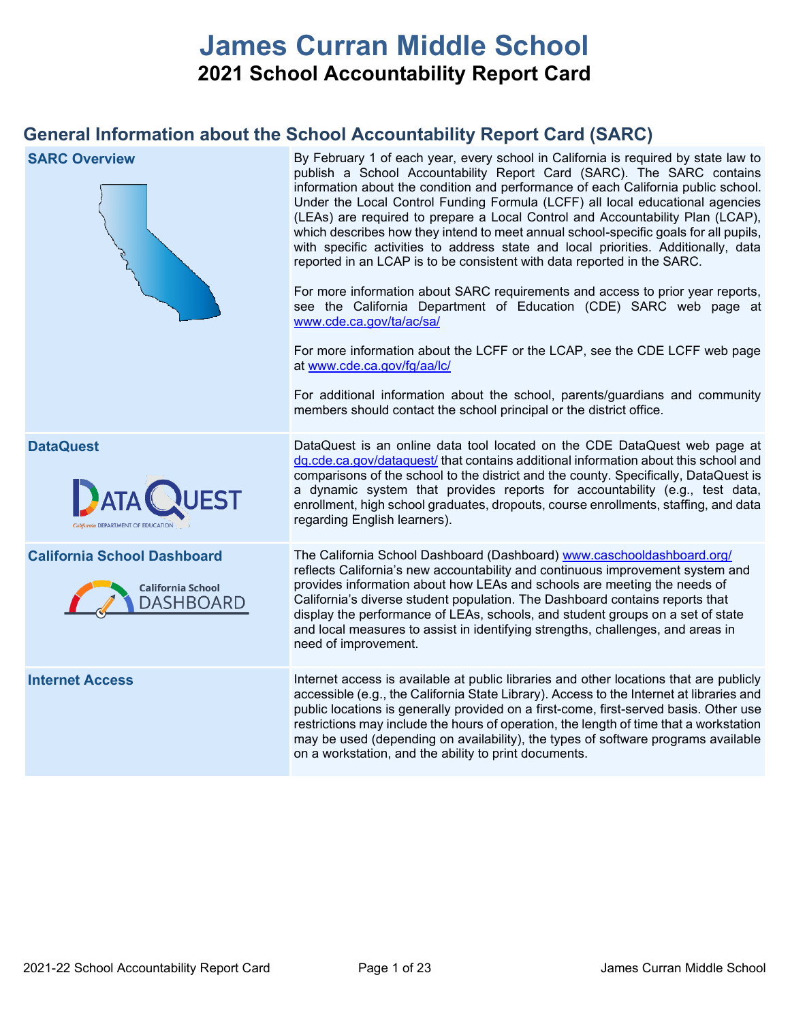# **James Curran Middle School 2021 School Accountability Report Card**

# **General Information about the School Accountability Report Card (SARC)**

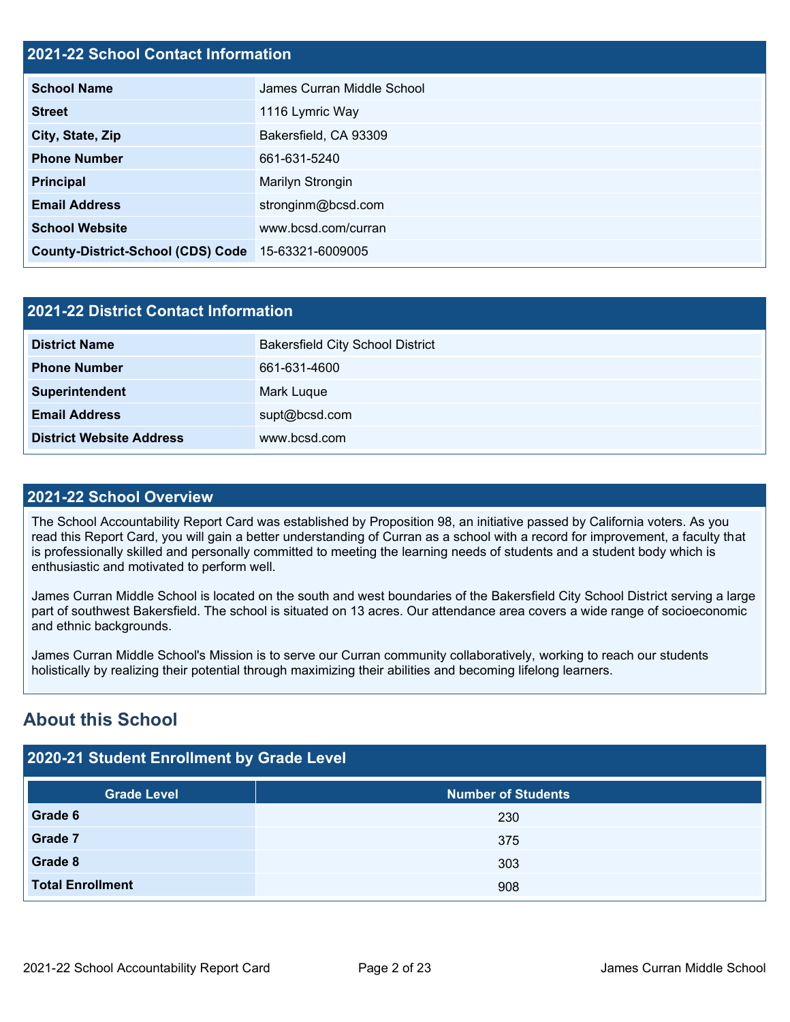# **2021-22 School Contact Information**

| <b>School Name</b>                       | James Curran Middle School |
|------------------------------------------|----------------------------|
| <b>Street</b>                            | 1116 Lymric Way            |
| City, State, Zip                         | Bakersfield, CA 93309      |
| <b>Phone Number</b>                      | 661-631-5240               |
| <b>Principal</b>                         | Marilyn Strongin           |
| <b>Email Address</b>                     | stronginm@bcsd.com         |
| <b>School Website</b>                    | www.bcsd.com/curran        |
| <b>County-District-School (CDS) Code</b> | 15-63321-6009005           |

| 2021-22 District Contact Information |                                         |  |  |  |  |
|--------------------------------------|-----------------------------------------|--|--|--|--|
| <b>District Name</b>                 | <b>Bakersfield City School District</b> |  |  |  |  |
| <b>Phone Number</b>                  | 661-631-4600                            |  |  |  |  |
| Superintendent                       | Mark Luque                              |  |  |  |  |
| <b>Email Address</b>                 | supt@bcsd.com                           |  |  |  |  |
| <b>District Website Address</b>      | www.bcsd.com                            |  |  |  |  |

## **2021-22 School Overview**

The School Accountability Report Card was established by Proposition 98, an initiative passed by California voters. As you read this Report Card, you will gain a better understanding of Curran as a school with a record for improvement, a faculty that is professionally skilled and personally committed to meeting the learning needs of students and a student body which is enthusiastic and motivated to perform well.

James Curran Middle School is located on the south and west boundaries of the Bakersfield City School District serving a large part of southwest Bakersfield. The school is situated on 13 acres. Our attendance area covers a wide range of socioeconomic and ethnic backgrounds.

James Curran Middle School's Mission is to serve our Curran community collaboratively, working to reach our students holistically by realizing their potential through maximizing their abilities and becoming lifelong learners.

# **About this School**

# **2020-21 Student Enrollment by Grade Level**

| <b>Grade Level</b>      | <b>Number of Students</b> |
|-------------------------|---------------------------|
| Grade 6                 | 230                       |
| Grade 7                 | 375                       |
| Grade 8                 | 303                       |
| <b>Total Enrollment</b> | 908                       |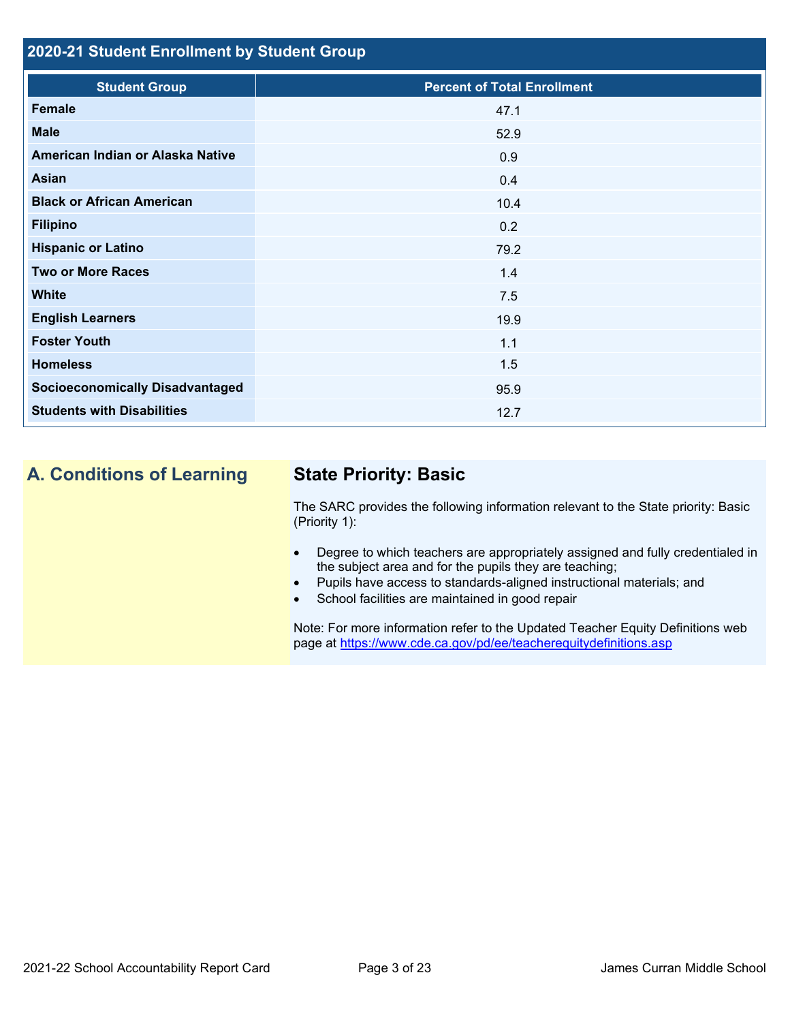# **2020-21 Student Enrollment by Student Group**

| <b>Student Group</b>                   | <b>Percent of Total Enrollment</b> |
|----------------------------------------|------------------------------------|
| Female                                 | 47.1                               |
| <b>Male</b>                            | 52.9                               |
| American Indian or Alaska Native       | 0.9                                |
| Asian                                  | 0.4                                |
| <b>Black or African American</b>       | 10.4                               |
| <b>Filipino</b>                        | 0.2                                |
| <b>Hispanic or Latino</b>              | 79.2                               |
| <b>Two or More Races</b>               | 1.4                                |
| <b>White</b>                           | 7.5                                |
| <b>English Learners</b>                | 19.9                               |
| <b>Foster Youth</b>                    | 1.1                                |
| <b>Homeless</b>                        | 1.5                                |
| <b>Socioeconomically Disadvantaged</b> | 95.9                               |
| <b>Students with Disabilities</b>      | 12.7                               |

# **A. Conditions of Learning State Priority: Basic**

The SARC provides the following information relevant to the State priority: Basic (Priority 1):

- Degree to which teachers are appropriately assigned and fully credentialed in the subject area and for the pupils they are teaching;
- Pupils have access to standards-aligned instructional materials; and
- School facilities are maintained in good repair

Note: For more information refer to the Updated Teacher Equity Definitions web page at<https://www.cde.ca.gov/pd/ee/teacherequitydefinitions.asp>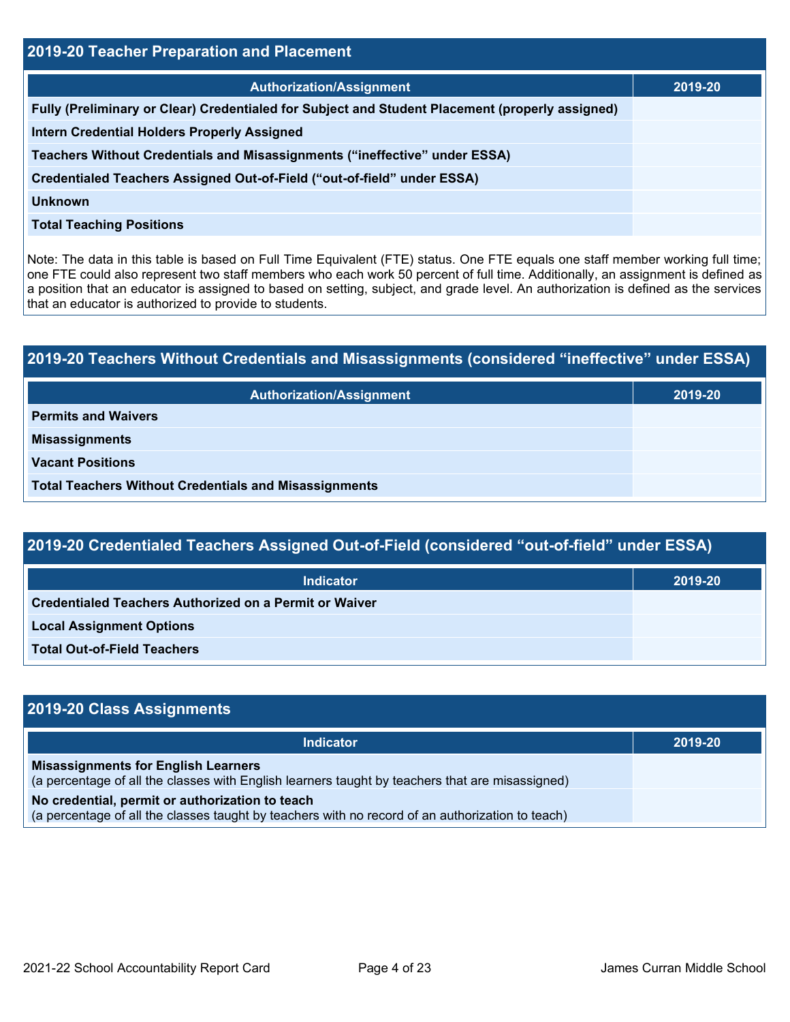| 2019-20 Teacher Preparation and Placement                                                       |         |  |  |  |  |
|-------------------------------------------------------------------------------------------------|---------|--|--|--|--|
| <b>Authorization/Assignment</b>                                                                 | 2019-20 |  |  |  |  |
| Fully (Preliminary or Clear) Credentialed for Subject and Student Placement (properly assigned) |         |  |  |  |  |
| <b>Intern Credential Holders Properly Assigned</b>                                              |         |  |  |  |  |
| Teachers Without Credentials and Misassignments ("ineffective" under ESSA)                      |         |  |  |  |  |
| Credentialed Teachers Assigned Out-of-Field ("out-of-field" under ESSA)                         |         |  |  |  |  |
| Unknown                                                                                         |         |  |  |  |  |
| <b>Total Teaching Positions</b>                                                                 |         |  |  |  |  |

Note: The data in this table is based on Full Time Equivalent (FTE) status. One FTE equals one staff member working full time; one FTE could also represent two staff members who each work 50 percent of full time. Additionally, an assignment is defined as a position that an educator is assigned to based on setting, subject, and grade level. An authorization is defined as the services that an educator is authorized to provide to students.

# **2019-20 Teachers Without Credentials and Misassignments (considered "ineffective" under ESSA) Authorization/Assignment 2019-20 Permits and Waivers Misassignments Vacant Positions Total Teachers Without Credentials and Misassignments**

# **2019-20 Credentialed Teachers Assigned Out-of-Field (considered "out-of-field" under ESSA)**

| <b>Indicator</b>                                              | 2019-20 |
|---------------------------------------------------------------|---------|
| <b>Credentialed Teachers Authorized on a Permit or Waiver</b> |         |
| <b>Local Assignment Options</b>                               |         |
| <b>Total Out-of-Field Teachers</b>                            |         |

| 2019-20 Class Assignments                                                                                                                           |         |  |  |  |  |
|-----------------------------------------------------------------------------------------------------------------------------------------------------|---------|--|--|--|--|
| <b>Indicator</b>                                                                                                                                    | 2019-20 |  |  |  |  |
| <b>Misassignments for English Learners</b><br>(a percentage of all the classes with English learners taught by teachers that are misassigned)       |         |  |  |  |  |
| No credential, permit or authorization to teach<br>(a percentage of all the classes taught by teachers with no record of an authorization to teach) |         |  |  |  |  |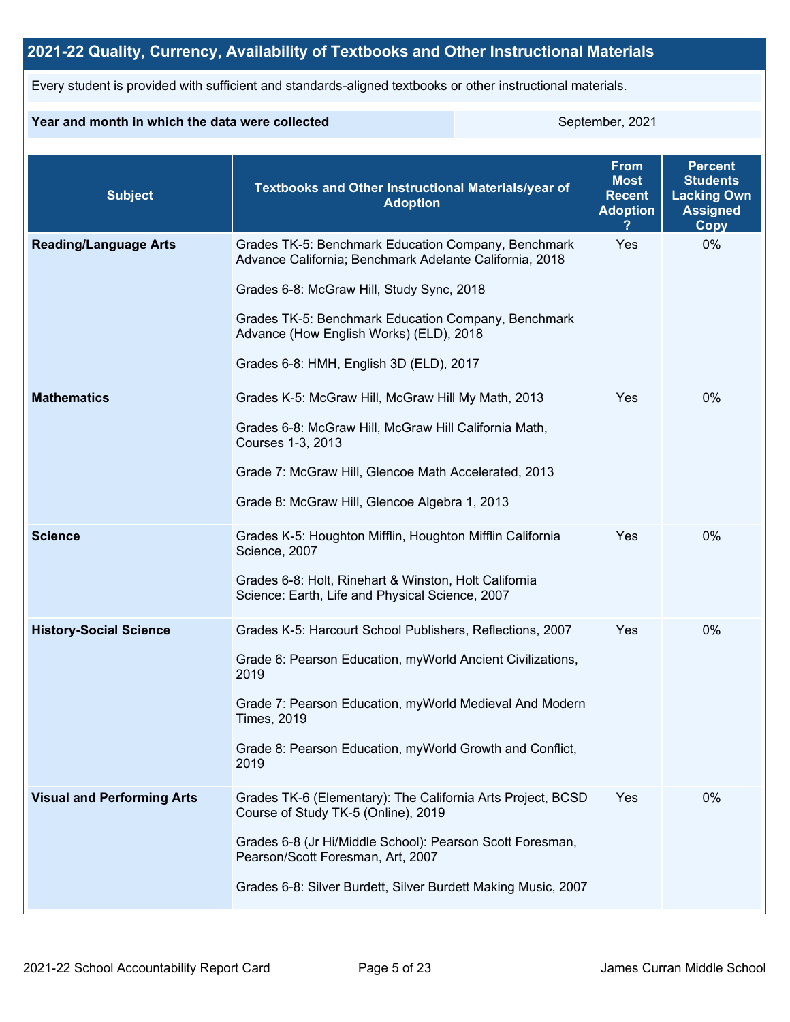# **2021-22 Quality, Currency, Availability of Textbooks and Other Instructional Materials**

Every student is provided with sufficient and standards-aligned textbooks or other instructional materials.

#### **Year and month in which the data were collected** September, 2021

| <b>Subject</b>                    | Textbooks and Other Instructional Materials/year of<br><b>Adoption</b>                                                                                                                                                                                                                                   | <b>From</b><br><b>Most</b><br><b>Recent</b><br><b>Adoption</b> | <b>Percent</b><br><b>Students</b><br><b>Lacking Own</b><br><b>Assigned</b><br>Copy |
|-----------------------------------|----------------------------------------------------------------------------------------------------------------------------------------------------------------------------------------------------------------------------------------------------------------------------------------------------------|----------------------------------------------------------------|------------------------------------------------------------------------------------|
| <b>Reading/Language Arts</b>      | Grades TK-5: Benchmark Education Company, Benchmark<br>Advance California; Benchmark Adelante California, 2018<br>Grades 6-8: McGraw Hill, Study Sync, 2018<br>Grades TK-5: Benchmark Education Company, Benchmark<br>Advance (How English Works) (ELD), 2018<br>Grades 6-8: HMH, English 3D (ELD), 2017 | Yes                                                            | 0%                                                                                 |
| <b>Mathematics</b>                | Grades K-5: McGraw Hill, McGraw Hill My Math, 2013<br>Grades 6-8: McGraw Hill, McGraw Hill California Math,<br>Courses 1-3, 2013<br>Grade 7: McGraw Hill, Glencoe Math Accelerated, 2013<br>Grade 8: McGraw Hill, Glencoe Algebra 1, 2013                                                                | Yes                                                            | $0\%$                                                                              |
| <b>Science</b>                    | Grades K-5: Houghton Mifflin, Houghton Mifflin California<br>Science, 2007<br>Grades 6-8: Holt, Rinehart & Winston, Holt California<br>Science: Earth, Life and Physical Science, 2007                                                                                                                   | Yes                                                            | 0%                                                                                 |
| <b>History-Social Science</b>     | Grades K-5: Harcourt School Publishers, Reflections, 2007<br>Grade 6: Pearson Education, myWorld Ancient Civilizations,<br>2019<br>Grade 7: Pearson Education, myWorld Medieval And Modern<br><b>Times, 2019</b><br>Grade 8: Pearson Education, myWorld Growth and Conflict,<br>2019                     | Yes                                                            | 0%                                                                                 |
| <b>Visual and Performing Arts</b> | Grades TK-6 (Elementary): The California Arts Project, BCSD<br>Course of Study TK-5 (Online), 2019<br>Grades 6-8 (Jr Hi/Middle School): Pearson Scott Foresman,<br>Pearson/Scott Foresman, Art, 2007<br>Grades 6-8: Silver Burdett, Silver Burdett Making Music, 2007                                    | Yes                                                            | 0%                                                                                 |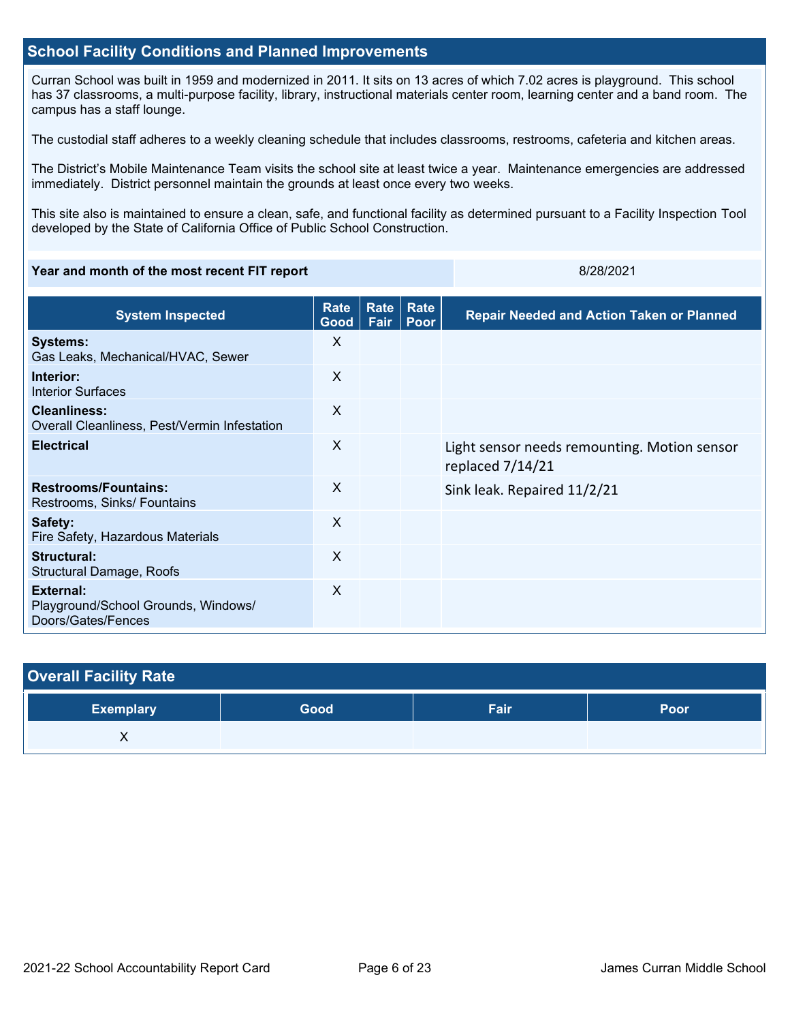#### **School Facility Conditions and Planned Improvements**

Curran School was built in 1959 and modernized in 2011. It sits on 13 acres of which 7.02 acres is playground. This school has 37 classrooms, a multi-purpose facility, library, instructional materials center room, learning center and a band room. The campus has a staff lounge.

The custodial staff adheres to a weekly cleaning schedule that includes classrooms, restrooms, cafeteria and kitchen areas.

The District's Mobile Maintenance Team visits the school site at least twice a year. Maintenance emergencies are addressed immediately. District personnel maintain the grounds at least once every two weeks.

This site also is maintained to ensure a clean, safe, and functional facility as determined pursuant to a Facility Inspection Tool developed by the State of California Office of Public School Construction.

#### **Year and month of the most recent FIT report** 8/28/2021 **8/28/2021**

| <b>System Inspected</b>                                                | <b>Rate</b><br>Good $ $ | Rate<br>Fair | Rate<br>Poor | <b>Repair Needed and Action Taken or Planned</b>                 |
|------------------------------------------------------------------------|-------------------------|--------------|--------------|------------------------------------------------------------------|
| <b>Systems:</b><br>Gas Leaks, Mechanical/HVAC, Sewer                   | X                       |              |              |                                                                  |
| Interior:<br><b>Interior Surfaces</b>                                  | X                       |              |              |                                                                  |
| <b>Cleanliness:</b><br>Overall Cleanliness, Pest/Vermin Infestation    | $\mathsf{X}$            |              |              |                                                                  |
| <b>Electrical</b>                                                      | $\mathsf{X}$            |              |              | Light sensor needs remounting. Motion sensor<br>replaced 7/14/21 |
| <b>Restrooms/Fountains:</b><br>Restrooms, Sinks/ Fountains             | X                       |              |              | Sink leak. Repaired 11/2/21                                      |
| Safety:<br>Fire Safety, Hazardous Materials                            | X                       |              |              |                                                                  |
| Structural:<br>Structural Damage, Roofs                                | X                       |              |              |                                                                  |
| External:<br>Playground/School Grounds, Windows/<br>Doors/Gates/Fences | X                       |              |              |                                                                  |

| <b>Overall Facility Rate</b> |      |      |      |
|------------------------------|------|------|------|
| <b>Exemplary</b>             | Good | Fair | Poor |
|                              |      |      |      |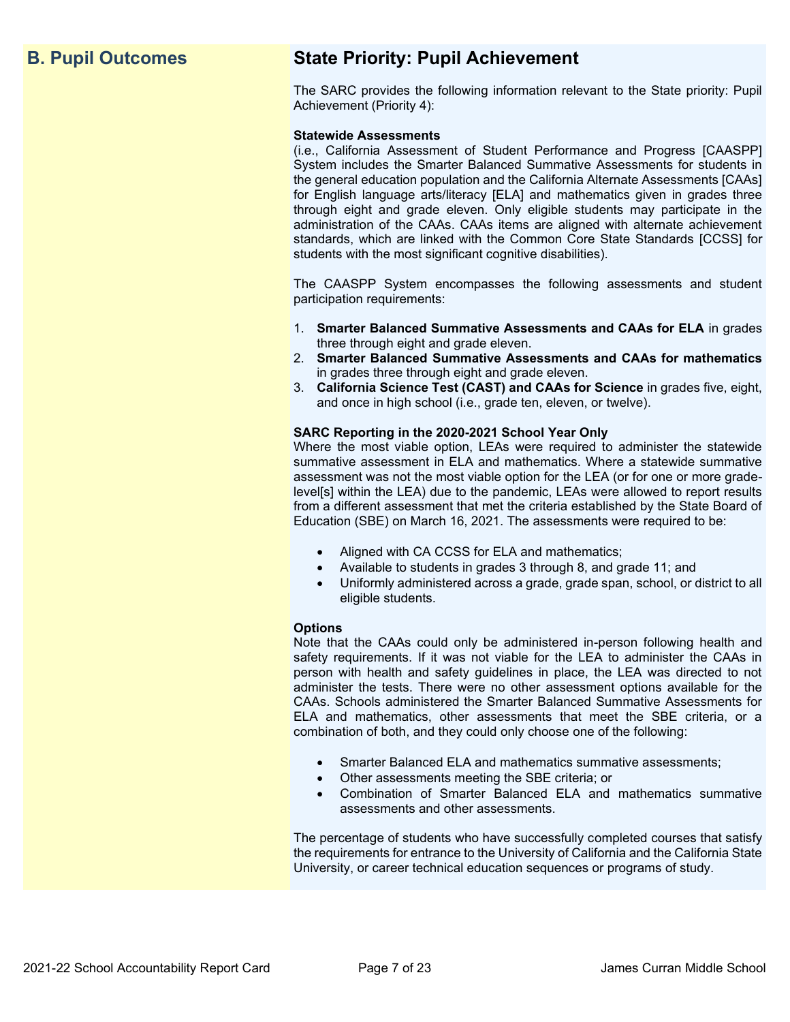# **B. Pupil Outcomes State Priority: Pupil Achievement**

The SARC provides the following information relevant to the State priority: Pupil Achievement (Priority 4):

#### **Statewide Assessments**

(i.e., California Assessment of Student Performance and Progress [CAASPP] System includes the Smarter Balanced Summative Assessments for students in the general education population and the California Alternate Assessments [CAAs] for English language arts/literacy [ELA] and mathematics given in grades three through eight and grade eleven. Only eligible students may participate in the administration of the CAAs. CAAs items are aligned with alternate achievement standards, which are linked with the Common Core State Standards [CCSS] for students with the most significant cognitive disabilities).

The CAASPP System encompasses the following assessments and student participation requirements:

- 1. **Smarter Balanced Summative Assessments and CAAs for ELA** in grades three through eight and grade eleven.
- 2. **Smarter Balanced Summative Assessments and CAAs for mathematics** in grades three through eight and grade eleven.
- 3. **California Science Test (CAST) and CAAs for Science** in grades five, eight, and once in high school (i.e., grade ten, eleven, or twelve).

#### **SARC Reporting in the 2020-2021 School Year Only**

Where the most viable option, LEAs were required to administer the statewide summative assessment in ELA and mathematics. Where a statewide summative assessment was not the most viable option for the LEA (or for one or more gradelevel[s] within the LEA) due to the pandemic, LEAs were allowed to report results from a different assessment that met the criteria established by the State Board of Education (SBE) on March 16, 2021. The assessments were required to be:

- Aligned with CA CCSS for ELA and mathematics;
- Available to students in grades 3 through 8, and grade 11; and
- Uniformly administered across a grade, grade span, school, or district to all eligible students.

#### **Options**

Note that the CAAs could only be administered in-person following health and safety requirements. If it was not viable for the LEA to administer the CAAs in person with health and safety guidelines in place, the LEA was directed to not administer the tests. There were no other assessment options available for the CAAs. Schools administered the Smarter Balanced Summative Assessments for ELA and mathematics, other assessments that meet the SBE criteria, or a combination of both, and they could only choose one of the following:

- Smarter Balanced ELA and mathematics summative assessments;
- Other assessments meeting the SBE criteria; or
- Combination of Smarter Balanced ELA and mathematics summative assessments and other assessments.

The percentage of students who have successfully completed courses that satisfy the requirements for entrance to the University of California and the California State University, or career technical education sequences or programs of study.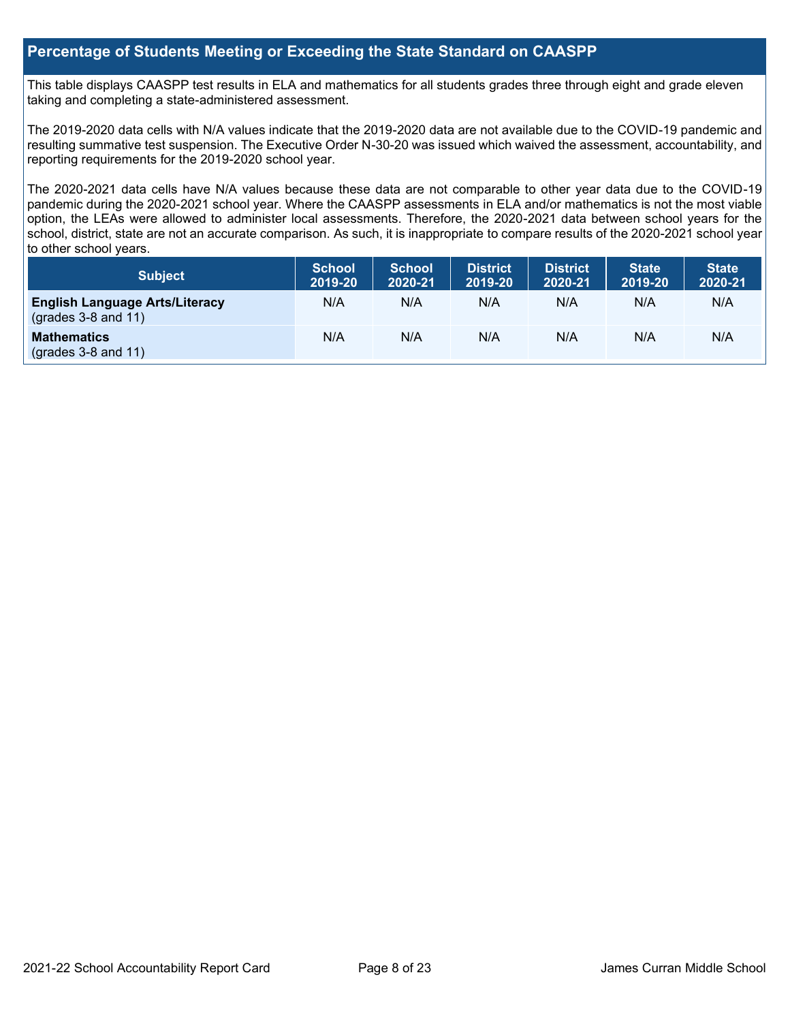### **Percentage of Students Meeting or Exceeding the State Standard on CAASPP**

This table displays CAASPP test results in ELA and mathematics for all students grades three through eight and grade eleven taking and completing a state-administered assessment.

The 2019-2020 data cells with N/A values indicate that the 2019-2020 data are not available due to the COVID-19 pandemic and resulting summative test suspension. The Executive Order N-30-20 was issued which waived the assessment, accountability, and reporting requirements for the 2019-2020 school year.

The 2020-2021 data cells have N/A values because these data are not comparable to other year data due to the COVID-19 pandemic during the 2020-2021 school year. Where the CAASPP assessments in ELA and/or mathematics is not the most viable option, the LEAs were allowed to administer local assessments. Therefore, the 2020-2021 data between school years for the school, district, state are not an accurate comparison. As such, it is inappropriate to compare results of the 2020-2021 school year to other school years.

| Subject                                                              | <b>School</b><br>2019-20 | <b>School</b><br>2020-21 | <b>District</b><br>2019-20 | <b>District</b><br>2020-21 | <b>State</b><br>2019-20 | <b>State</b><br>2020-21 |
|----------------------------------------------------------------------|--------------------------|--------------------------|----------------------------|----------------------------|-------------------------|-------------------------|
| <b>English Language Arts/Literacy</b><br>$\left($ grades 3-8 and 11) | N/A                      | N/A                      | N/A                        | N/A                        | N/A                     | N/A                     |
| <b>Mathematics</b><br>$(grades 3-8 and 11)$                          | N/A                      | N/A                      | N/A                        | N/A                        | N/A                     | N/A                     |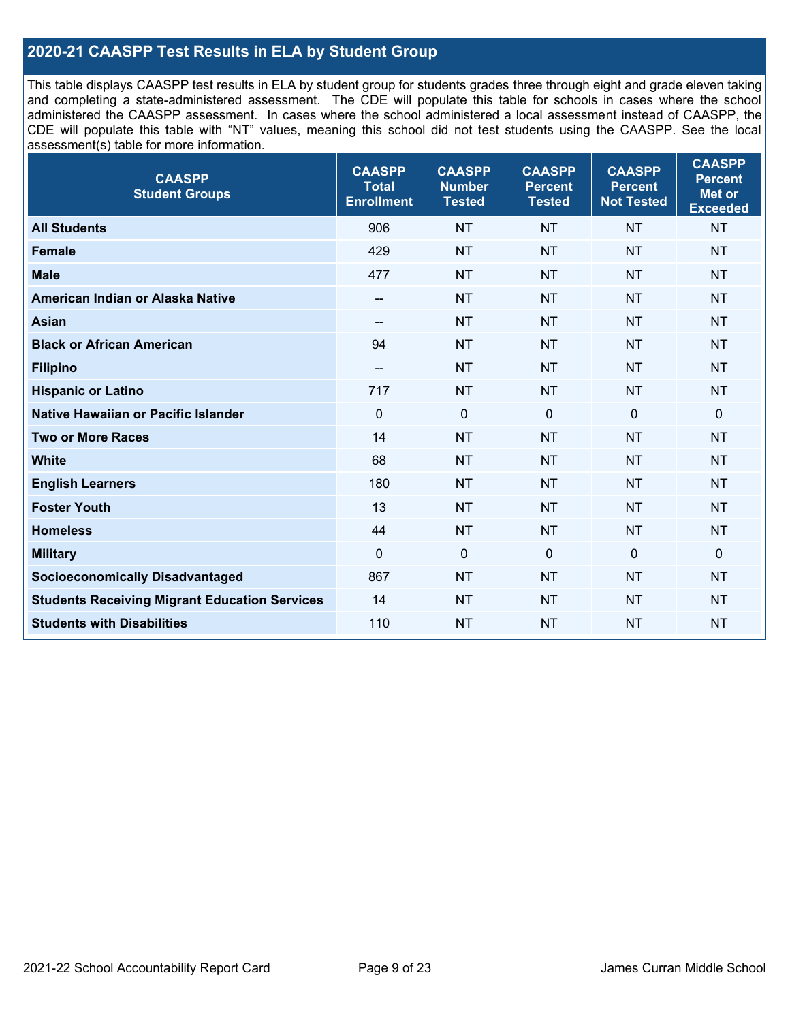# **2020-21 CAASPP Test Results in ELA by Student Group**

This table displays CAASPP test results in ELA by student group for students grades three through eight and grade eleven taking and completing a state-administered assessment. The CDE will populate this table for schools in cases where the school administered the CAASPP assessment. In cases where the school administered a local assessment instead of CAASPP, the CDE will populate this table with "NT" values, meaning this school did not test students using the CAASPP. See the local assessment(s) table for more information.

| <b>CAASPP</b><br><b>Total</b><br><b>Enrollment</b> | <b>CAASPP</b><br><b>Number</b><br><b>Tested</b> | <b>CAASPP</b><br><b>Percent</b><br><b>Tested</b> | <b>CAASPP</b><br><b>Percent</b><br><b>Not Tested</b> | <b>CAASPP</b><br><b>Percent</b><br>Met or<br><b>Exceeded</b> |
|----------------------------------------------------|-------------------------------------------------|--------------------------------------------------|------------------------------------------------------|--------------------------------------------------------------|
| 906                                                | <b>NT</b>                                       | <b>NT</b>                                        | <b>NT</b>                                            | <b>NT</b>                                                    |
| 429                                                | <b>NT</b>                                       | <b>NT</b>                                        | <b>NT</b>                                            | <b>NT</b>                                                    |
| 477                                                | <b>NT</b>                                       | <b>NT</b>                                        | <b>NT</b>                                            | <b>NT</b>                                                    |
| $-$                                                | <b>NT</b>                                       | <b>NT</b>                                        | <b>NT</b>                                            | <b>NT</b>                                                    |
|                                                    | <b>NT</b>                                       | <b>NT</b>                                        | <b>NT</b>                                            | <b>NT</b>                                                    |
| 94                                                 | <b>NT</b>                                       | <b>NT</b>                                        | <b>NT</b>                                            | <b>NT</b>                                                    |
| $\overline{\phantom{a}}$                           | <b>NT</b>                                       | <b>NT</b>                                        | <b>NT</b>                                            | <b>NT</b>                                                    |
| 717                                                | <b>NT</b>                                       | <b>NT</b>                                        | <b>NT</b>                                            | <b>NT</b>                                                    |
| $\mathbf 0$                                        | $\mathbf 0$                                     | $\mathbf{0}$                                     | $\overline{0}$                                       | 0                                                            |
| 14                                                 | <b>NT</b>                                       | <b>NT</b>                                        | <b>NT</b>                                            | <b>NT</b>                                                    |
| 68                                                 | <b>NT</b>                                       | <b>NT</b>                                        | <b>NT</b>                                            | <b>NT</b>                                                    |
| 180                                                | <b>NT</b>                                       | <b>NT</b>                                        | <b>NT</b>                                            | <b>NT</b>                                                    |
| 13                                                 | <b>NT</b>                                       | <b>NT</b>                                        | <b>NT</b>                                            | <b>NT</b>                                                    |
| 44                                                 | <b>NT</b>                                       | <b>NT</b>                                        | <b>NT</b>                                            | <b>NT</b>                                                    |
| $\mathbf 0$                                        | $\mathbf 0$                                     | $\mathbf 0$                                      | $\mathbf 0$                                          | 0                                                            |
| 867                                                | <b>NT</b>                                       | <b>NT</b>                                        | <b>NT</b>                                            | <b>NT</b>                                                    |
| 14                                                 | <b>NT</b>                                       | <b>NT</b>                                        | <b>NT</b>                                            | <b>NT</b>                                                    |
| 110                                                | <b>NT</b>                                       | <b>NT</b>                                        | <b>NT</b>                                            | <b>NT</b>                                                    |
|                                                    |                                                 |                                                  |                                                      |                                                              |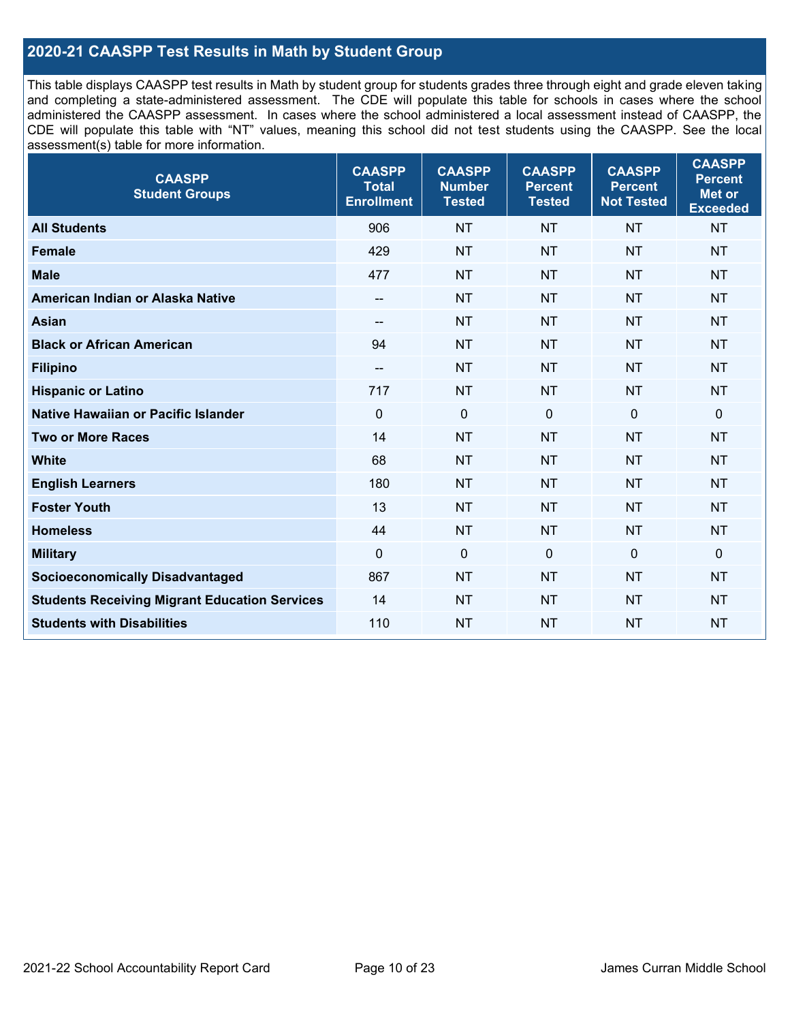# **2020-21 CAASPP Test Results in Math by Student Group**

This table displays CAASPP test results in Math by student group for students grades three through eight and grade eleven taking and completing a state-administered assessment. The CDE will populate this table for schools in cases where the school administered the CAASPP assessment. In cases where the school administered a local assessment instead of CAASPP, the CDE will populate this table with "NT" values, meaning this school did not test students using the CAASPP. See the local assessment(s) table for more information.

| <b>CAASPP</b><br><b>Student Groups</b>               | <b>CAASPP</b><br><b>Total</b><br><b>Enrollment</b> | <b>CAASPP</b><br><b>Number</b><br><b>Tested</b> | <b>CAASPP</b><br><b>Percent</b><br><b>Tested</b> | <b>CAASPP</b><br><b>Percent</b><br><b>Not Tested</b> | <b>CAASPP</b><br><b>Percent</b><br><b>Met or</b><br><b>Exceeded</b> |
|------------------------------------------------------|----------------------------------------------------|-------------------------------------------------|--------------------------------------------------|------------------------------------------------------|---------------------------------------------------------------------|
| <b>All Students</b>                                  | 906                                                | <b>NT</b>                                       | <b>NT</b>                                        | <b>NT</b>                                            | <b>NT</b>                                                           |
| <b>Female</b>                                        | 429                                                | <b>NT</b>                                       | <b>NT</b>                                        | <b>NT</b>                                            | <b>NT</b>                                                           |
| <b>Male</b>                                          | 477                                                | <b>NT</b>                                       | <b>NT</b>                                        | <b>NT</b>                                            | <b>NT</b>                                                           |
| American Indian or Alaska Native                     | --                                                 | <b>NT</b>                                       | <b>NT</b>                                        | <b>NT</b>                                            | <b>NT</b>                                                           |
| <b>Asian</b>                                         | --                                                 | <b>NT</b>                                       | <b>NT</b>                                        | <b>NT</b>                                            | <b>NT</b>                                                           |
| <b>Black or African American</b>                     | 94                                                 | <b>NT</b>                                       | <b>NT</b>                                        | <b>NT</b>                                            | <b>NT</b>                                                           |
| <b>Filipino</b>                                      | $- -$                                              | <b>NT</b>                                       | <b>NT</b>                                        | <b>NT</b>                                            | <b>NT</b>                                                           |
| <b>Hispanic or Latino</b>                            | 717                                                | <b>NT</b>                                       | <b>NT</b>                                        | <b>NT</b>                                            | <b>NT</b>                                                           |
| Native Hawaiian or Pacific Islander                  | $\mathbf 0$                                        | $\mathbf 0$                                     | $\mathbf 0$                                      | $\mathbf 0$                                          | $\mathbf 0$                                                         |
| <b>Two or More Races</b>                             | 14                                                 | <b>NT</b>                                       | <b>NT</b>                                        | <b>NT</b>                                            | <b>NT</b>                                                           |
| <b>White</b>                                         | 68                                                 | <b>NT</b>                                       | <b>NT</b>                                        | <b>NT</b>                                            | <b>NT</b>                                                           |
| <b>English Learners</b>                              | 180                                                | <b>NT</b>                                       | <b>NT</b>                                        | <b>NT</b>                                            | <b>NT</b>                                                           |
| <b>Foster Youth</b>                                  | 13                                                 | <b>NT</b>                                       | <b>NT</b>                                        | <b>NT</b>                                            | <b>NT</b>                                                           |
| <b>Homeless</b>                                      | 44                                                 | <b>NT</b>                                       | <b>NT</b>                                        | <b>NT</b>                                            | <b>NT</b>                                                           |
| <b>Military</b>                                      | $\mathbf 0$                                        | $\mathbf 0$                                     | $\mathbf 0$                                      | $\mathbf 0$                                          | $\mathbf 0$                                                         |
| <b>Socioeconomically Disadvantaged</b>               | 867                                                | <b>NT</b>                                       | <b>NT</b>                                        | <b>NT</b>                                            | <b>NT</b>                                                           |
| <b>Students Receiving Migrant Education Services</b> | 14                                                 | <b>NT</b>                                       | <b>NT</b>                                        | <b>NT</b>                                            | NT                                                                  |
| <b>Students with Disabilities</b>                    | 110                                                | <b>NT</b>                                       | <b>NT</b>                                        | <b>NT</b>                                            | <b>NT</b>                                                           |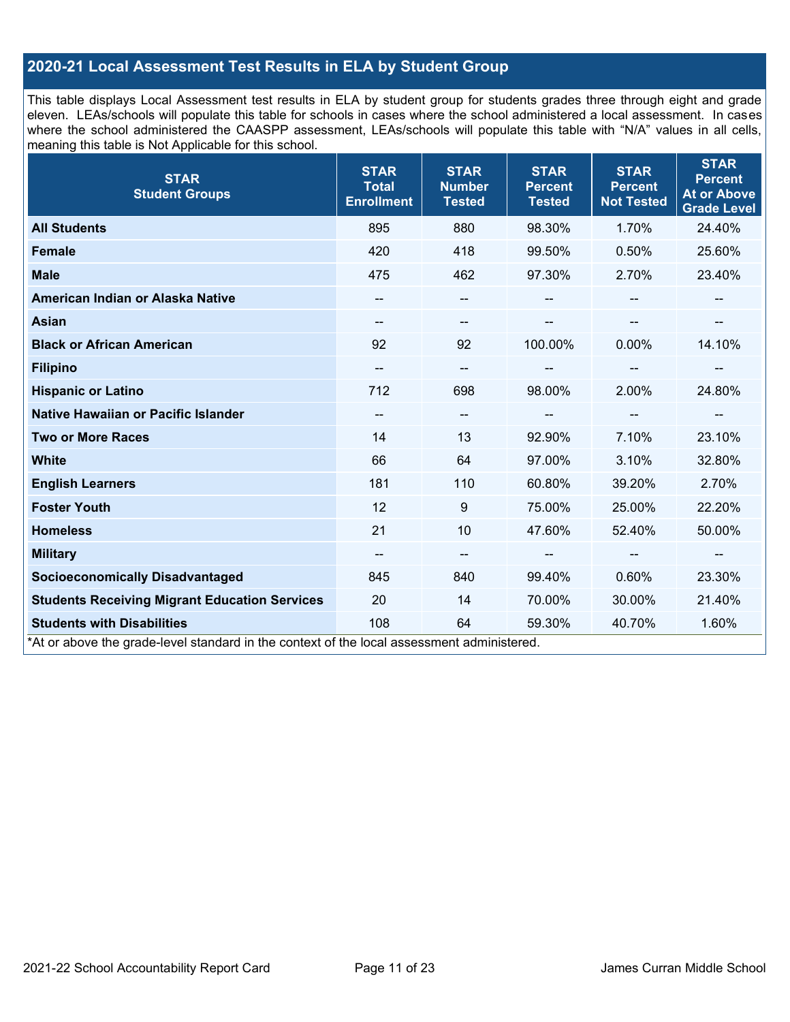# **2020-21 Local Assessment Test Results in ELA by Student Group**

This table displays Local Assessment test results in ELA by student group for students grades three through eight and grade eleven. LEAs/schools will populate this table for schools in cases where the school administered a local assessment. In cases where the school administered the CAASPP assessment, LEAs/schools will populate this table with "N/A" values in all cells, meaning this table is Not Applicable for this school.

| <b>STAR</b><br><b>Student Groups</b>                                                                                            | <b>STAR</b><br><b>Total</b><br><b>Enrollment</b> | <b>STAR</b><br><b>Number</b><br><b>Tested</b> | <b>STAR</b><br><b>Percent</b><br><b>Tested</b> | <b>STAR</b><br><b>Percent</b><br><b>Not Tested</b> | <b>STAR</b><br><b>Percent</b><br><b>At or Above</b><br><b>Grade Level</b> |
|---------------------------------------------------------------------------------------------------------------------------------|--------------------------------------------------|-----------------------------------------------|------------------------------------------------|----------------------------------------------------|---------------------------------------------------------------------------|
| <b>All Students</b>                                                                                                             | 895                                              | 880                                           | 98.30%                                         | 1.70%                                              | 24.40%                                                                    |
| <b>Female</b>                                                                                                                   | 420                                              | 418                                           | 99.50%                                         | 0.50%                                              | 25.60%                                                                    |
| <b>Male</b>                                                                                                                     | 475                                              | 462                                           | 97.30%                                         | 2.70%                                              | 23.40%                                                                    |
| American Indian or Alaska Native                                                                                                |                                                  | $\qquad \qquad -$                             |                                                |                                                    |                                                                           |
| <b>Asian</b>                                                                                                                    |                                                  | --                                            |                                                |                                                    |                                                                           |
| <b>Black or African American</b>                                                                                                | 92                                               | 92                                            | 100.00%                                        | $0.00\%$                                           | 14.10%                                                                    |
| <b>Filipino</b>                                                                                                                 |                                                  | --                                            |                                                | --                                                 | --                                                                        |
| <b>Hispanic or Latino</b>                                                                                                       | 712                                              | 698                                           | 98.00%                                         | 2.00%                                              | 24.80%                                                                    |
| Native Hawaiian or Pacific Islander                                                                                             |                                                  | --                                            |                                                | $-$                                                |                                                                           |
| <b>Two or More Races</b>                                                                                                        | 14                                               | 13                                            | 92.90%                                         | 7.10%                                              | 23.10%                                                                    |
| <b>White</b>                                                                                                                    | 66                                               | 64                                            | 97.00%                                         | 3.10%                                              | 32.80%                                                                    |
| <b>English Learners</b>                                                                                                         | 181                                              | 110                                           | 60.80%                                         | 39.20%                                             | 2.70%                                                                     |
| <b>Foster Youth</b>                                                                                                             | 12                                               | 9                                             | 75.00%                                         | 25.00%                                             | 22.20%                                                                    |
| <b>Homeless</b>                                                                                                                 | 21                                               | 10                                            | 47.60%                                         | 52.40%                                             | 50.00%                                                                    |
| <b>Military</b>                                                                                                                 | $\qquad \qquad -$                                | $\overline{\phantom{a}}$                      | --                                             | $\hspace{0.05cm}$                                  | --                                                                        |
| <b>Socioeconomically Disadvantaged</b>                                                                                          | 845                                              | 840                                           | 99.40%                                         | 0.60%                                              | 23.30%                                                                    |
| <b>Students Receiving Migrant Education Services</b>                                                                            | 20                                               | 14                                            | 70.00%                                         | 30.00%                                             | 21.40%                                                                    |
| <b>Students with Disabilities</b><br>*At or above the grade-level standard in the context of the local assessment administered. | 108                                              | 64                                            | 59.30%                                         | 40.70%                                             | 1.60%                                                                     |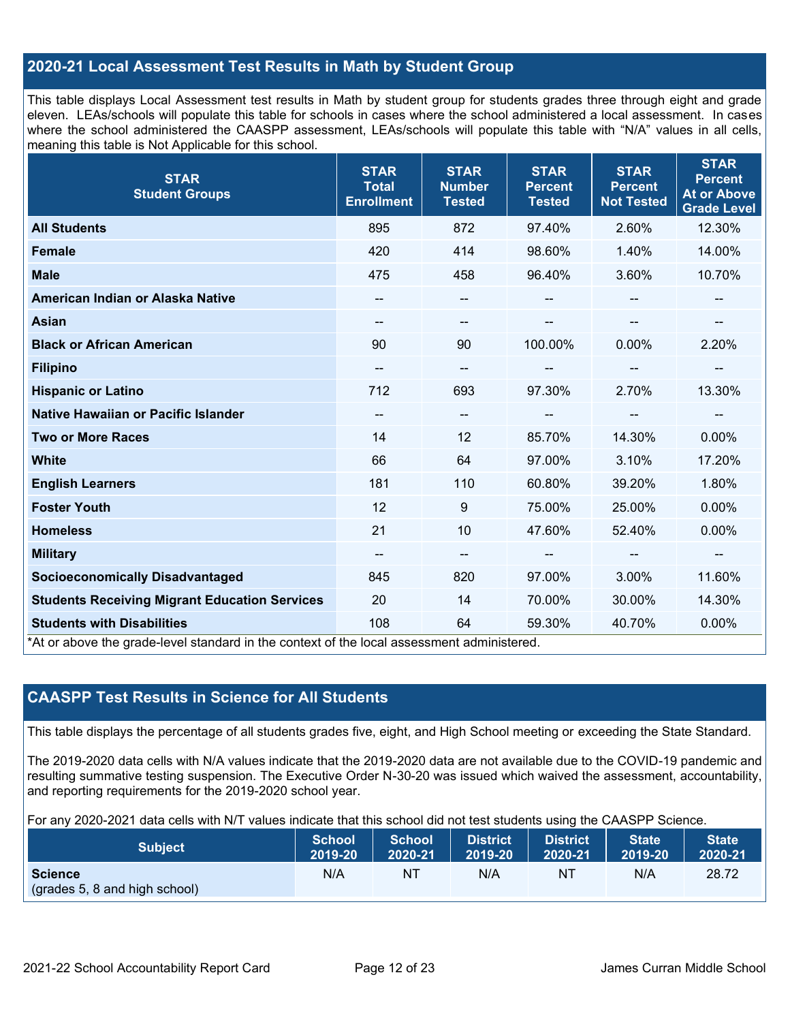## **2020-21 Local Assessment Test Results in Math by Student Group**

This table displays Local Assessment test results in Math by student group for students grades three through eight and grade eleven. LEAs/schools will populate this table for schools in cases where the school administered a local assessment. In cases where the school administered the CAASPP assessment, LEAs/schools will populate this table with "N/A" values in all cells, meaning this table is Not Applicable for this school.

| <b>STAR</b><br><b>Student Groups</b>                                                                                            | <b>STAR</b><br><b>Total</b><br><b>Enrollment</b> | <b>STAR</b><br><b>Number</b><br><b>Tested</b> | <b>STAR</b><br><b>Percent</b><br><b>Tested</b> | <b>STAR</b><br><b>Percent</b><br><b>Not Tested</b> | <b>STAR</b><br><b>Percent</b><br><b>At or Above</b><br><b>Grade Level</b> |
|---------------------------------------------------------------------------------------------------------------------------------|--------------------------------------------------|-----------------------------------------------|------------------------------------------------|----------------------------------------------------|---------------------------------------------------------------------------|
| <b>All Students</b>                                                                                                             | 895                                              | 872                                           | 97.40%                                         | 2.60%                                              | 12.30%                                                                    |
| <b>Female</b>                                                                                                                   | 420                                              | 414                                           | 98.60%                                         | 1.40%                                              | 14.00%                                                                    |
| <b>Male</b>                                                                                                                     | 475                                              | 458                                           | 96.40%                                         | 3.60%                                              | 10.70%                                                                    |
| American Indian or Alaska Native                                                                                                | $\overline{\phantom{a}}$                         | $\qquad \qquad -$                             | --                                             |                                                    |                                                                           |
| <b>Asian</b>                                                                                                                    | --                                               | $\overline{\phantom{a}}$                      |                                                |                                                    | --                                                                        |
| <b>Black or African American</b>                                                                                                | 90                                               | 90                                            | 100.00%                                        | $0.00\%$                                           | 2.20%                                                                     |
| <b>Filipino</b>                                                                                                                 | --                                               | $\overline{\phantom{m}}$                      |                                                | --                                                 | --                                                                        |
| <b>Hispanic or Latino</b>                                                                                                       | 712                                              | 693                                           | 97.30%                                         | 2.70%                                              | 13.30%                                                                    |
| Native Hawaiian or Pacific Islander                                                                                             |                                                  | $\overline{\phantom{a}}$                      |                                                |                                                    |                                                                           |
| <b>Two or More Races</b>                                                                                                        | 14                                               | 12                                            | 85.70%                                         | 14.30%                                             | 0.00%                                                                     |
| <b>White</b>                                                                                                                    | 66                                               | 64                                            | 97.00%                                         | 3.10%                                              | 17.20%                                                                    |
| <b>English Learners</b>                                                                                                         | 181                                              | 110                                           | 60.80%                                         | 39.20%                                             | 1.80%                                                                     |
| <b>Foster Youth</b>                                                                                                             | 12                                               | 9                                             | 75.00%                                         | 25.00%                                             | 0.00%                                                                     |
| <b>Homeless</b>                                                                                                                 | 21                                               | 10                                            | 47.60%                                         | 52.40%                                             | 0.00%                                                                     |
| <b>Military</b>                                                                                                                 | $\overline{\phantom{a}}$                         | $\overline{\phantom{a}}$                      | --                                             | $\sim$                                             | --                                                                        |
| <b>Socioeconomically Disadvantaged</b>                                                                                          | 845                                              | 820                                           | 97.00%                                         | 3.00%                                              | 11.60%                                                                    |
| <b>Students Receiving Migrant Education Services</b>                                                                            | 20                                               | 14                                            | 70.00%                                         | 30.00%                                             | 14.30%                                                                    |
| <b>Students with Disabilities</b><br>*At or above the grade-level standard in the context of the local assessment administered. | 108                                              | 64                                            | 59.30%                                         | 40.70%                                             | 0.00%                                                                     |

# **CAASPP Test Results in Science for All Students**

This table displays the percentage of all students grades five, eight, and High School meeting or exceeding the State Standard.

The 2019-2020 data cells with N/A values indicate that the 2019-2020 data are not available due to the COVID-19 pandemic and resulting summative testing suspension. The Executive Order N-30-20 was issued which waived the assessment, accountability, and reporting requirements for the 2019-2020 school year.

For any 2020-2021 data cells with N/T values indicate that this school did not test students using the CAASPP Science.

| <b>Subject</b>                                  | <b>School</b> | <b>School</b> | <b>District</b> | District | <b>State</b> | <b>State</b> |
|-------------------------------------------------|---------------|---------------|-----------------|----------|--------------|--------------|
|                                                 | 2019-20       | 2020-21       | 2019-20         | 2020-21  | 2019-20      | 2020-21      |
| <b>Science</b><br>(grades 5, 8 and high school) | N/A           | ΝT            | N/A             | ΝT       | N/A          | 28.72        |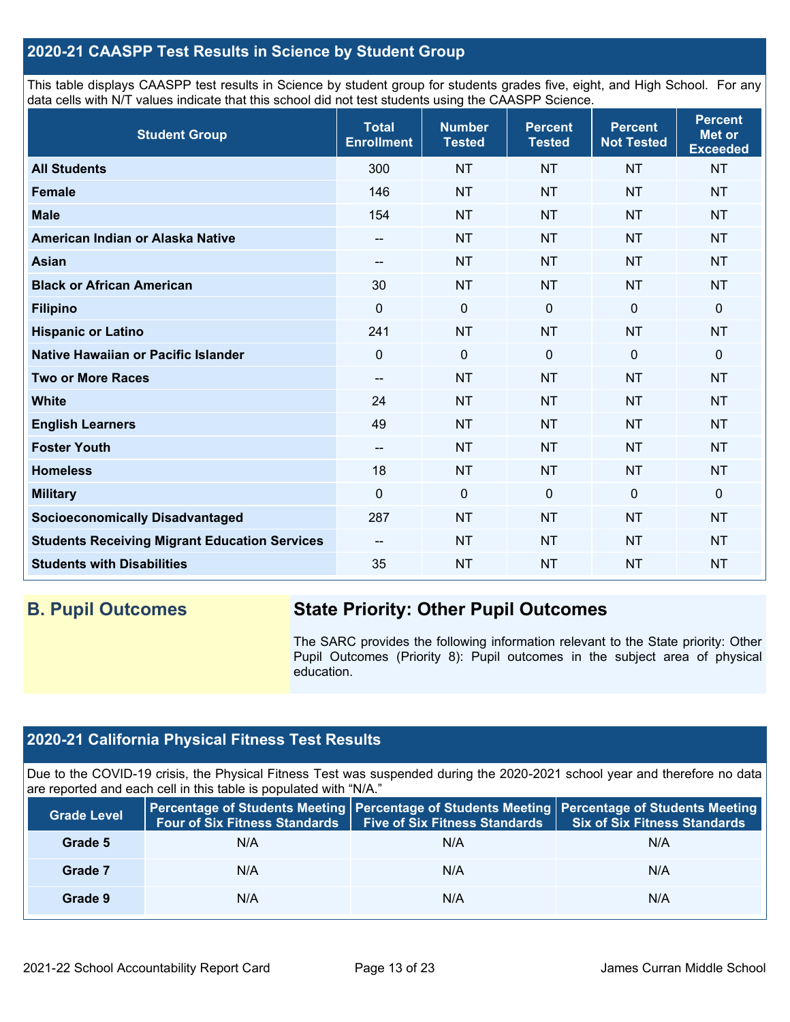# **2020-21 CAASPP Test Results in Science by Student Group**

This table displays CAASPP test results in Science by student group for students grades five, eight, and High School. For any data cells with N/T values indicate that this school did not test students using the CAASPP Science.

| <b>Student Group</b>                                 | <b>Total</b><br><b>Enrollment</b> | <b>Number</b><br><b>Tested</b> | <b>Percent</b><br><b>Tested</b> | <b>Percent</b><br><b>Not Tested</b> | <b>Percent</b><br>Met or<br><b>Exceeded</b> |
|------------------------------------------------------|-----------------------------------|--------------------------------|---------------------------------|-------------------------------------|---------------------------------------------|
| <b>All Students</b>                                  | 300                               | <b>NT</b>                      | <b>NT</b>                       | <b>NT</b>                           | <b>NT</b>                                   |
| <b>Female</b>                                        | 146                               | <b>NT</b>                      | <b>NT</b>                       | <b>NT</b>                           | <b>NT</b>                                   |
| <b>Male</b>                                          | 154                               | <b>NT</b>                      | <b>NT</b>                       | <b>NT</b>                           | <b>NT</b>                                   |
| American Indian or Alaska Native                     | --                                | <b>NT</b>                      | <b>NT</b>                       | <b>NT</b>                           | <b>NT</b>                                   |
| <b>Asian</b>                                         | --                                | <b>NT</b>                      | <b>NT</b>                       | <b>NT</b>                           | <b>NT</b>                                   |
| <b>Black or African American</b>                     | 30                                | <b>NT</b>                      | <b>NT</b>                       | <b>NT</b>                           | <b>NT</b>                                   |
| <b>Filipino</b>                                      | 0                                 | $\mathbf 0$                    | $\mathbf 0$                     | 0                                   | 0                                           |
| <b>Hispanic or Latino</b>                            | 241                               | <b>NT</b>                      | <b>NT</b>                       | <b>NT</b>                           | <b>NT</b>                                   |
| Native Hawaiian or Pacific Islander                  | 0                                 | $\mathbf 0$                    | $\mathbf{0}$                    | $\mathbf 0$                         | 0                                           |
| <b>Two or More Races</b>                             | --                                | <b>NT</b>                      | <b>NT</b>                       | <b>NT</b>                           | <b>NT</b>                                   |
| <b>White</b>                                         | 24                                | <b>NT</b>                      | <b>NT</b>                       | <b>NT</b>                           | <b>NT</b>                                   |
| <b>English Learners</b>                              | 49                                | <b>NT</b>                      | <b>NT</b>                       | <b>NT</b>                           | <b>NT</b>                                   |
| <b>Foster Youth</b>                                  | --                                | <b>NT</b>                      | <b>NT</b>                       | <b>NT</b>                           | <b>NT</b>                                   |
| <b>Homeless</b>                                      | 18                                | <b>NT</b>                      | <b>NT</b>                       | <b>NT</b>                           | <b>NT</b>                                   |
| <b>Military</b>                                      | $\Omega$                          | $\mathbf 0$                    | $\mathbf 0$                     | $\mathbf 0$                         | 0                                           |
| <b>Socioeconomically Disadvantaged</b>               | 287                               | <b>NT</b>                      | <b>NT</b>                       | <b>NT</b>                           | <b>NT</b>                                   |
| <b>Students Receiving Migrant Education Services</b> | $-$                               | <b>NT</b>                      | <b>NT</b>                       | <b>NT</b>                           | <b>NT</b>                                   |
| <b>Students with Disabilities</b>                    | 35                                | <b>NT</b>                      | <b>NT</b>                       | <b>NT</b>                           | <b>NT</b>                                   |

# **B. Pupil Outcomes State Priority: Other Pupil Outcomes**

The SARC provides the following information relevant to the State priority: Other Pupil Outcomes (Priority 8): Pupil outcomes in the subject area of physical education.

# **2020-21 California Physical Fitness Test Results**

Due to the COVID-19 crisis, the Physical Fitness Test was suspended during the 2020-2021 school year and therefore no data are reported and each cell in this table is populated with "N/A."

| <b>Grade Level</b> | <b>Four of Six Fitness Standards</b> | <b>Five of Six Fitness Standards</b> | Percentage of Students Meeting   Percentage of Students Meeting   Percentage of Students Meeting<br><b>Six of Six Fitness Standards</b> |
|--------------------|--------------------------------------|--------------------------------------|-----------------------------------------------------------------------------------------------------------------------------------------|
| Grade 5            | N/A                                  | N/A                                  | N/A                                                                                                                                     |
| Grade 7            | N/A                                  | N/A                                  | N/A                                                                                                                                     |
| Grade 9            | N/A                                  | N/A                                  | N/A                                                                                                                                     |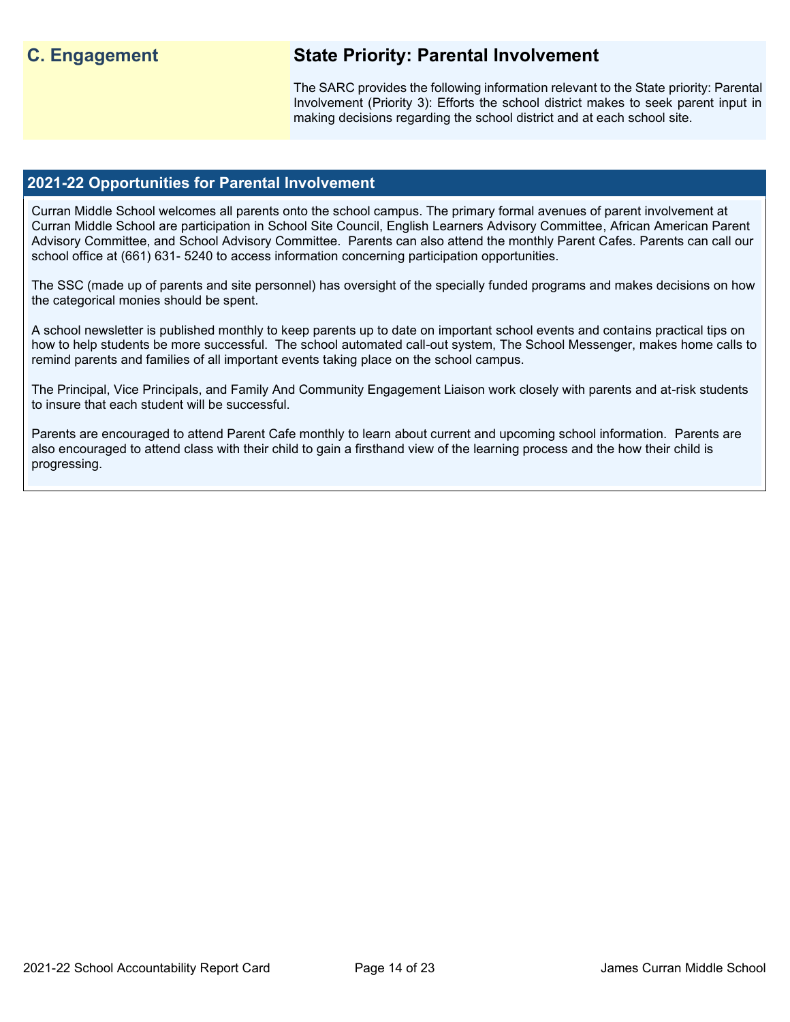# **C. Engagement State Priority: Parental Involvement**

The SARC provides the following information relevant to the State priority: Parental Involvement (Priority 3): Efforts the school district makes to seek parent input in making decisions regarding the school district and at each school site.

### **2021-22 Opportunities for Parental Involvement**

Curran Middle School welcomes all parents onto the school campus. The primary formal avenues of parent involvement at Curran Middle School are participation in School Site Council, English Learners Advisory Committee, African American Parent Advisory Committee, and School Advisory Committee. Parents can also attend the monthly Parent Cafes. Parents can call our school office at (661) 631- 5240 to access information concerning participation opportunities.

The SSC (made up of parents and site personnel) has oversight of the specially funded programs and makes decisions on how the categorical monies should be spent.

A school newsletter is published monthly to keep parents up to date on important school events and contains practical tips on how to help students be more successful. The school automated call-out system, The School Messenger, makes home calls to remind parents and families of all important events taking place on the school campus.

The Principal, Vice Principals, and Family And Community Engagement Liaison work closely with parents and at-risk students to insure that each student will be successful.

Parents are encouraged to attend Parent Cafe monthly to learn about current and upcoming school information. Parents are also encouraged to attend class with their child to gain a firsthand view of the learning process and the how their child is progressing.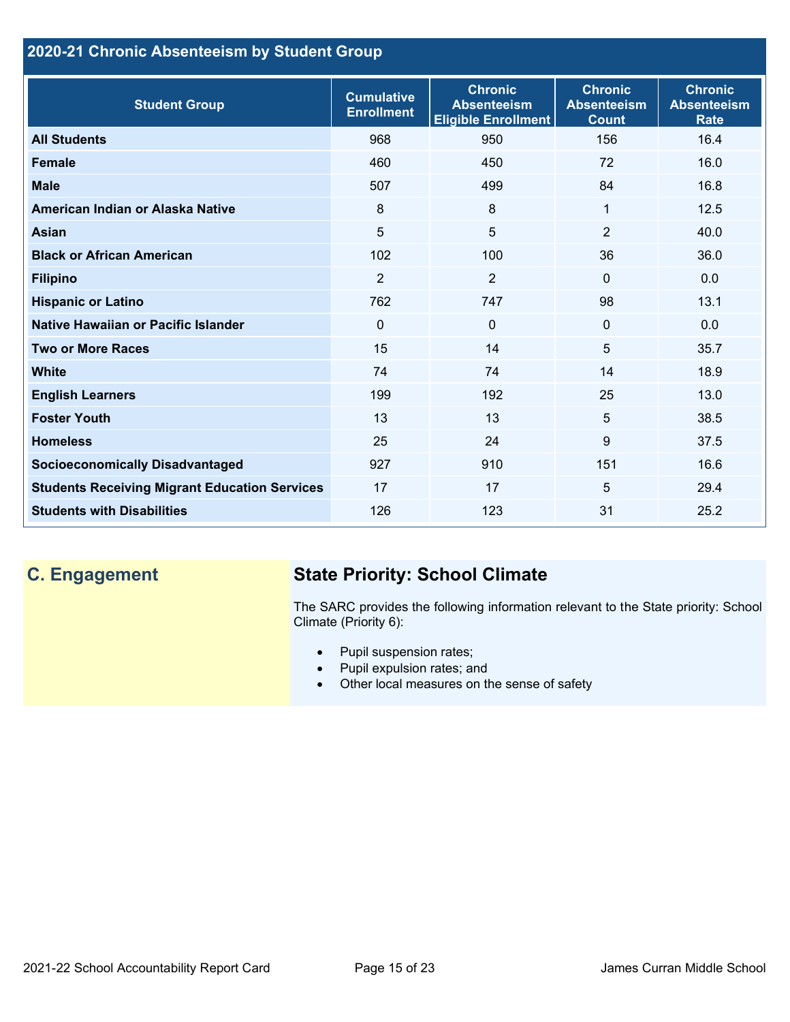# **2020-21 Chronic Absenteeism by Student Group**

| <b>Student Group</b>                                 | <b>Cumulative</b><br><b>Enrollment</b> | <b>Chronic</b><br><b>Absenteeism</b><br><b>Eligible Enrollment</b> | <b>Chronic</b><br><b>Absenteeism</b><br><b>Count</b> | <b>Chronic</b><br><b>Absenteeism</b><br><b>Rate</b> |
|------------------------------------------------------|----------------------------------------|--------------------------------------------------------------------|------------------------------------------------------|-----------------------------------------------------|
| <b>All Students</b>                                  | 968                                    | 950                                                                | 156                                                  | 16.4                                                |
| <b>Female</b>                                        | 460                                    | 450                                                                | 72                                                   | 16.0                                                |
| <b>Male</b>                                          | 507                                    | 499                                                                | 84                                                   | 16.8                                                |
| American Indian or Alaska Native                     | 8                                      | 8                                                                  | 1                                                    | 12.5                                                |
| <b>Asian</b>                                         | 5                                      | 5                                                                  | $\overline{2}$                                       | 40.0                                                |
| <b>Black or African American</b>                     | 102                                    | 100                                                                | 36                                                   | 36.0                                                |
| <b>Filipino</b>                                      | $\overline{2}$                         | $\overline{2}$                                                     | $\mathbf{0}$                                         | 0.0                                                 |
| <b>Hispanic or Latino</b>                            | 762                                    | 747                                                                | 98                                                   | 13.1                                                |
| Native Hawaiian or Pacific Islander                  | $\Omega$                               | $\mathbf 0$                                                        | $\mathbf 0$                                          | 0.0                                                 |
| <b>Two or More Races</b>                             | 15                                     | 14                                                                 | 5                                                    | 35.7                                                |
| <b>White</b>                                         | 74                                     | 74                                                                 | 14                                                   | 18.9                                                |
| <b>English Learners</b>                              | 199                                    | 192                                                                | 25                                                   | 13.0                                                |
| <b>Foster Youth</b>                                  | 13                                     | 13                                                                 | 5                                                    | 38.5                                                |
| <b>Homeless</b>                                      | 25                                     | 24                                                                 | 9                                                    | 37.5                                                |
| <b>Socioeconomically Disadvantaged</b>               | 927                                    | 910                                                                | 151                                                  | 16.6                                                |
| <b>Students Receiving Migrant Education Services</b> | 17                                     | 17                                                                 | 5                                                    | 29.4                                                |
| <b>Students with Disabilities</b>                    | 126                                    | 123                                                                | 31                                                   | 25.2                                                |

# **C. Engagement State Priority: School Climate**

The SARC provides the following information relevant to the State priority: School Climate (Priority 6):

- Pupil suspension rates;
- Pupil expulsion rates; and
- Other local measures on the sense of safety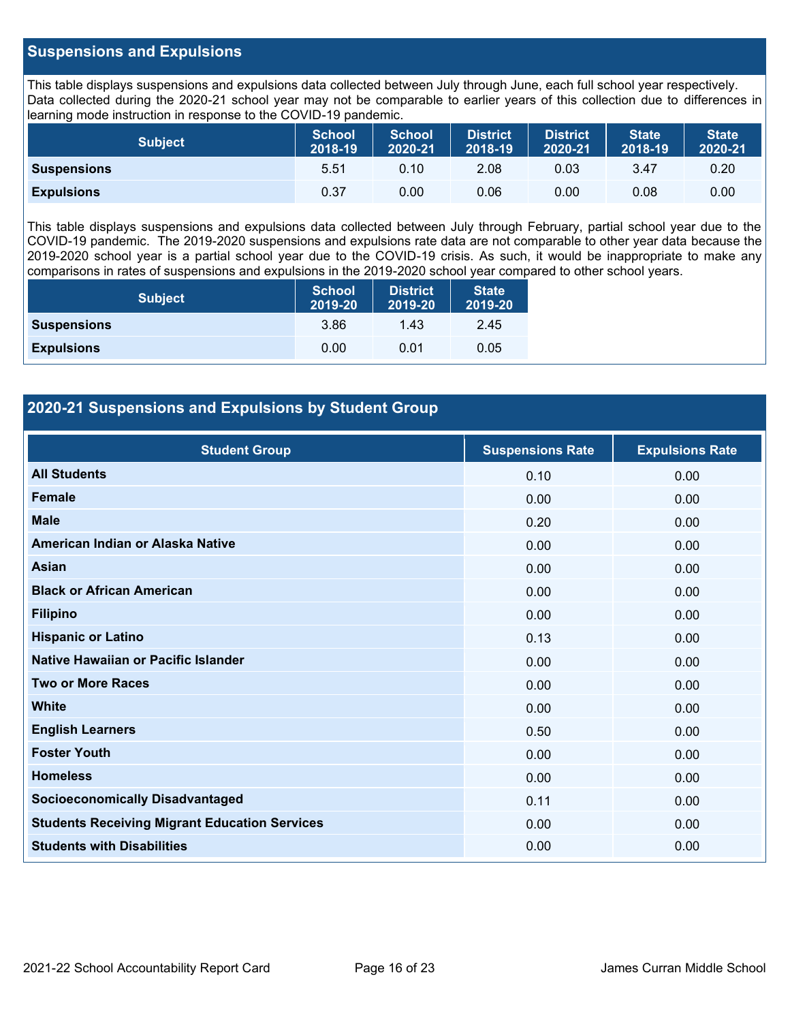## **Suspensions and Expulsions**

This table displays suspensions and expulsions data collected between July through June, each full school year respectively. Data collected during the 2020-21 school year may not be comparable to earlier years of this collection due to differences in learning mode instruction in response to the COVID-19 pandemic.

| <b>Subject</b>     | <b>School</b><br>2018-19 | <b>School</b><br>2020-21 | <b>District</b><br>2018-19 | <b>District</b><br>2020-21 | <b>State</b><br>2018-19 | <b>State</b><br>2020-21 |
|--------------------|--------------------------|--------------------------|----------------------------|----------------------------|-------------------------|-------------------------|
| <b>Suspensions</b> | 5.51                     | 0.10                     | 2.08                       | 0.03                       | 3.47                    | 0.20                    |
| <b>Expulsions</b>  | 0.37                     | 0.00                     | 0.06                       | 0.00                       | 0.08                    | 0.00                    |

This table displays suspensions and expulsions data collected between July through February, partial school year due to the COVID-19 pandemic. The 2019-2020 suspensions and expulsions rate data are not comparable to other year data because the 2019-2020 school year is a partial school year due to the COVID-19 crisis. As such, it would be inappropriate to make any comparisons in rates of suspensions and expulsions in the 2019-2020 school year compared to other school years.

| <b>Subject</b>     | School<br>2019-20 | <b>District</b><br>2019-20 | <b>State</b><br>2019-20 |
|--------------------|-------------------|----------------------------|-------------------------|
| <b>Suspensions</b> | 3.86              | 1.43                       | 2.45                    |
| <b>Expulsions</b>  | 0.00              | 0.01                       | 0.05                    |

# **2020-21 Suspensions and Expulsions by Student Group**

| <b>Student Group</b>                                 | <b>Suspensions Rate</b> | <b>Expulsions Rate</b> |
|------------------------------------------------------|-------------------------|------------------------|
| <b>All Students</b>                                  | 0.10                    | 0.00                   |
| Female                                               | 0.00                    | 0.00                   |
| <b>Male</b>                                          | 0.20                    | 0.00                   |
| American Indian or Alaska Native                     | 0.00                    | 0.00                   |
| Asian                                                | 0.00                    | 0.00                   |
| <b>Black or African American</b>                     | 0.00                    | 0.00                   |
| <b>Filipino</b>                                      | 0.00                    | 0.00                   |
| <b>Hispanic or Latino</b>                            | 0.13                    | 0.00                   |
| Native Hawaiian or Pacific Islander                  | 0.00                    | 0.00                   |
| <b>Two or More Races</b>                             | 0.00                    | 0.00                   |
| <b>White</b>                                         | 0.00                    | 0.00                   |
| <b>English Learners</b>                              | 0.50                    | 0.00                   |
| <b>Foster Youth</b>                                  | 0.00                    | 0.00                   |
| <b>Homeless</b>                                      | 0.00                    | 0.00                   |
| <b>Socioeconomically Disadvantaged</b>               | 0.11                    | 0.00                   |
| <b>Students Receiving Migrant Education Services</b> | 0.00                    | 0.00                   |
| <b>Students with Disabilities</b>                    | 0.00                    | 0.00                   |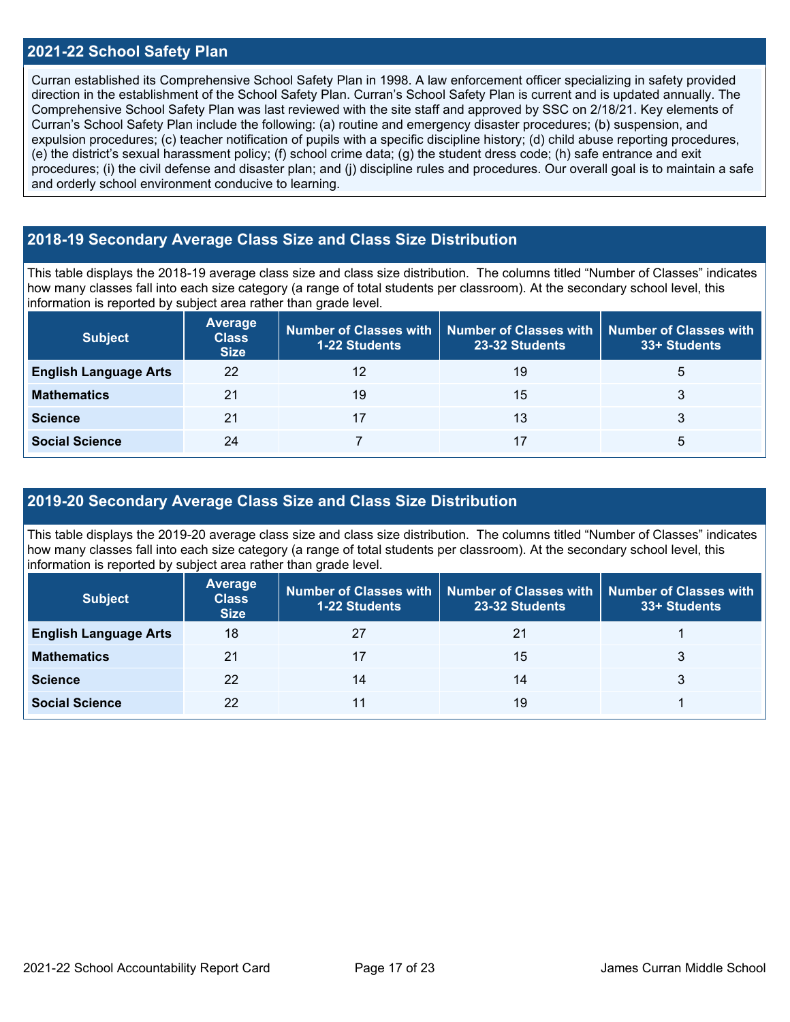#### **2021-22 School Safety Plan**

Curran established its Comprehensive School Safety Plan in 1998. A law enforcement officer specializing in safety provided direction in the establishment of the School Safety Plan. Curran's School Safety Plan is current and is updated annually. The Comprehensive School Safety Plan was last reviewed with the site staff and approved by SSC on 2/18/21. Key elements of Curran's School Safety Plan include the following: (a) routine and emergency disaster procedures; (b) suspension, and expulsion procedures; (c) teacher notification of pupils with a specific discipline history; (d) child abuse reporting procedures, (e) the district's sexual harassment policy; (f) school crime data; (g) the student dress code; (h) safe entrance and exit procedures; (i) the civil defense and disaster plan; and (j) discipline rules and procedures. Our overall goal is to maintain a safe and orderly school environment conducive to learning.

# **2018-19 Secondary Average Class Size and Class Size Distribution**

This table displays the 2018-19 average class size and class size distribution. The columns titled "Number of Classes" indicates how many classes fall into each size category (a range of total students per classroom). At the secondary school level, this information is reported by subject area rather than grade level.

| <b>Subject</b>               | <b>Average</b><br><b>Class</b><br><b>Size</b> | <b>1-22 Students</b> | Number of Classes with   Number of Classes with<br>23-32 Students | Number of Classes with<br>33+ Students |
|------------------------------|-----------------------------------------------|----------------------|-------------------------------------------------------------------|----------------------------------------|
| <b>English Language Arts</b> | 22                                            | 12                   | 19                                                                | b                                      |
| <b>Mathematics</b>           | 21                                            | 19                   | 15                                                                | 3                                      |
| <b>Science</b>               | 21                                            |                      | 13                                                                | 3                                      |
| <b>Social Science</b>        | 24                                            |                      | 17                                                                | b                                      |

### **2019-20 Secondary Average Class Size and Class Size Distribution**

This table displays the 2019-20 average class size and class size distribution. The columns titled "Number of Classes" indicates how many classes fall into each size category (a range of total students per classroom). At the secondary school level, this information is reported by subject area rather than grade level.

| <b>Subject</b>               | Average<br><b>Class</b><br><b>Size</b> | 1-22 Students | Number of Classes with   Number of Classes with  <br>23-32 Students | Number of Classes with<br>33+ Students |
|------------------------------|----------------------------------------|---------------|---------------------------------------------------------------------|----------------------------------------|
| <b>English Language Arts</b> | 18                                     |               | 21                                                                  |                                        |
| <b>Mathematics</b>           | 21                                     |               | 15                                                                  |                                        |
| <b>Science</b>               | 22                                     | 14            | 14                                                                  |                                        |
| <b>Social Science</b>        | 22                                     |               | 19                                                                  |                                        |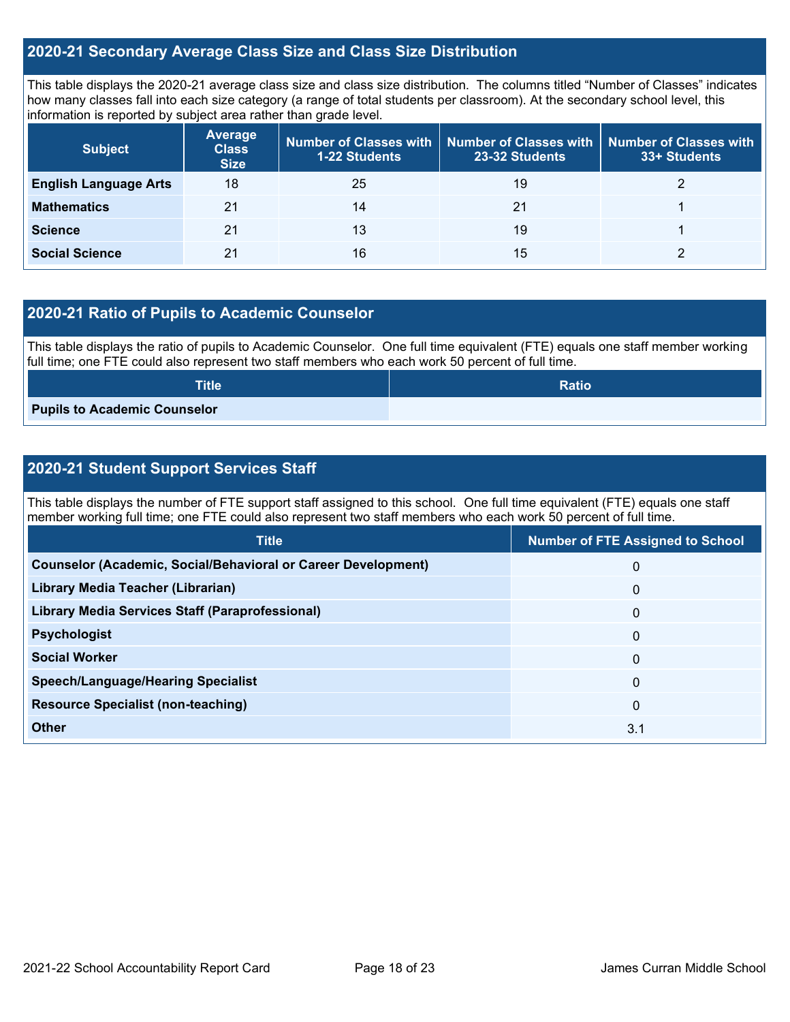## **2020-21 Secondary Average Class Size and Class Size Distribution**

This table displays the 2020-21 average class size and class size distribution. The columns titled "Number of Classes" indicates how many classes fall into each size category (a range of total students per classroom). At the secondary school level, this information is reported by subject area rather than grade level.

| <b>Subject</b>               | <b>Average</b><br><b>Class</b><br><b>Size</b> | 1-22 Students | Number of Classes with   Number of Classes with  <br>23-32 Students | Number of Classes with<br>33+ Students |
|------------------------------|-----------------------------------------------|---------------|---------------------------------------------------------------------|----------------------------------------|
| <b>English Language Arts</b> | 18                                            | 25            | 19                                                                  |                                        |
| <b>Mathematics</b>           | 21                                            | 14            | 21                                                                  |                                        |
| <b>Science</b>               | 21                                            | 13            | 19                                                                  |                                        |
| <b>Social Science</b>        | 21                                            | 16            | 15                                                                  |                                        |

# **2020-21 Ratio of Pupils to Academic Counselor**

This table displays the ratio of pupils to Academic Counselor. One full time equivalent (FTE) equals one staff member working full time; one FTE could also represent two staff members who each work 50 percent of full time.

| <b>Title</b>                        | <b>Ratio</b> |
|-------------------------------------|--------------|
| <b>Pupils to Academic Counselor</b> |              |

# **2020-21 Student Support Services Staff**

This table displays the number of FTE support staff assigned to this school. One full time equivalent (FTE) equals one staff member working full time; one FTE could also represent two staff members who each work 50 percent of full time.

| <b>Title</b>                                                         | <b>Number of FTE Assigned to School</b> |
|----------------------------------------------------------------------|-----------------------------------------|
| <b>Counselor (Academic, Social/Behavioral or Career Development)</b> | 0                                       |
| Library Media Teacher (Librarian)                                    | $\mathbf 0$                             |
| <b>Library Media Services Staff (Paraprofessional)</b>               | $\mathbf{0}$                            |
| <b>Psychologist</b>                                                  | $\mathbf{0}$                            |
| <b>Social Worker</b>                                                 | $\mathbf{0}$                            |
| <b>Speech/Language/Hearing Specialist</b>                            | $\Omega$                                |
| <b>Resource Specialist (non-teaching)</b>                            | $\mathbf{0}$                            |
| <b>Other</b>                                                         | 3.1                                     |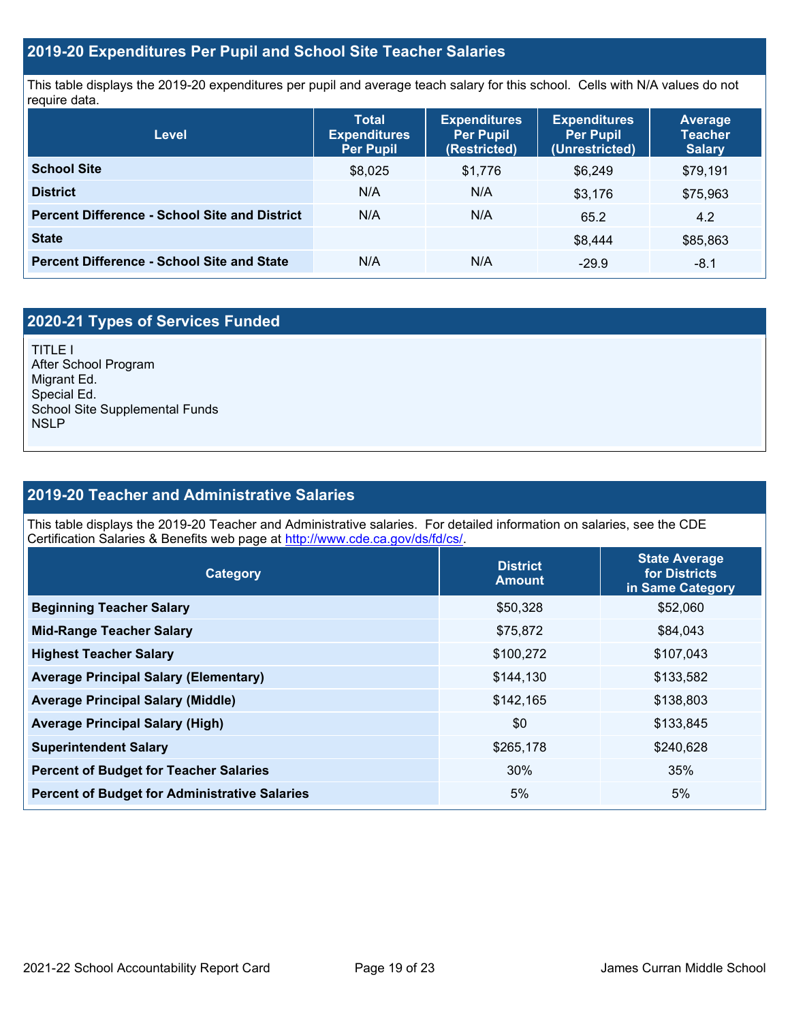## **2019-20 Expenditures Per Pupil and School Site Teacher Salaries**

This table displays the 2019-20 expenditures per pupil and average teach salary for this school. Cells with N/A values do not require data.

| <b>Level</b>                                         | <b>Total</b><br><b>Expenditures</b><br><b>Per Pupil</b> | <b>Expenditures</b><br><b>Per Pupil</b><br>(Restricted) | <b>Expenditures</b><br><b>Per Pupil</b><br>(Unrestricted) | <b>Average</b><br><b>Teacher</b><br><b>Salary</b> |
|------------------------------------------------------|---------------------------------------------------------|---------------------------------------------------------|-----------------------------------------------------------|---------------------------------------------------|
| <b>School Site</b>                                   | \$8,025                                                 | \$1,776                                                 | \$6.249                                                   | \$79,191                                          |
| <b>District</b>                                      | N/A                                                     | N/A                                                     | \$3,176                                                   | \$75,963                                          |
| <b>Percent Difference - School Site and District</b> | N/A                                                     | N/A                                                     | 65.2                                                      | 4.2                                               |
| <b>State</b>                                         |                                                         |                                                         | \$8.444                                                   | \$85,863                                          |
| <b>Percent Difference - School Site and State</b>    | N/A                                                     | N/A                                                     | $-29.9$                                                   | $-8.1$                                            |

# **2020-21 Types of Services Funded**

TITLE I After School Program Migrant Ed. Special Ed. School Site Supplemental Funds **NSLP** 

# **2019-20 Teacher and Administrative Salaries**

This table displays the 2019-20 Teacher and Administrative salaries. For detailed information on salaries, see the CDE Certification Salaries & Benefits web page at [http://www.cde.ca.gov/ds/fd/cs/.](http://www.cde.ca.gov/ds/fd/cs/)

| <b>Category</b>                                      | <b>District</b><br><b>Amount</b> | <b>State Average</b><br>for Districts<br>in Same Category |
|------------------------------------------------------|----------------------------------|-----------------------------------------------------------|
| <b>Beginning Teacher Salary</b>                      | \$50,328                         | \$52,060                                                  |
| <b>Mid-Range Teacher Salary</b>                      | \$75,872                         | \$84,043                                                  |
| <b>Highest Teacher Salary</b>                        | \$100,272                        | \$107,043                                                 |
| <b>Average Principal Salary (Elementary)</b>         | \$144,130                        | \$133,582                                                 |
| <b>Average Principal Salary (Middle)</b>             | \$142,165                        | \$138,803                                                 |
| <b>Average Principal Salary (High)</b>               | \$0                              | \$133,845                                                 |
| <b>Superintendent Salary</b>                         | \$265,178                        | \$240,628                                                 |
| <b>Percent of Budget for Teacher Salaries</b>        | 30%                              | 35%                                                       |
| <b>Percent of Budget for Administrative Salaries</b> | 5%                               | 5%                                                        |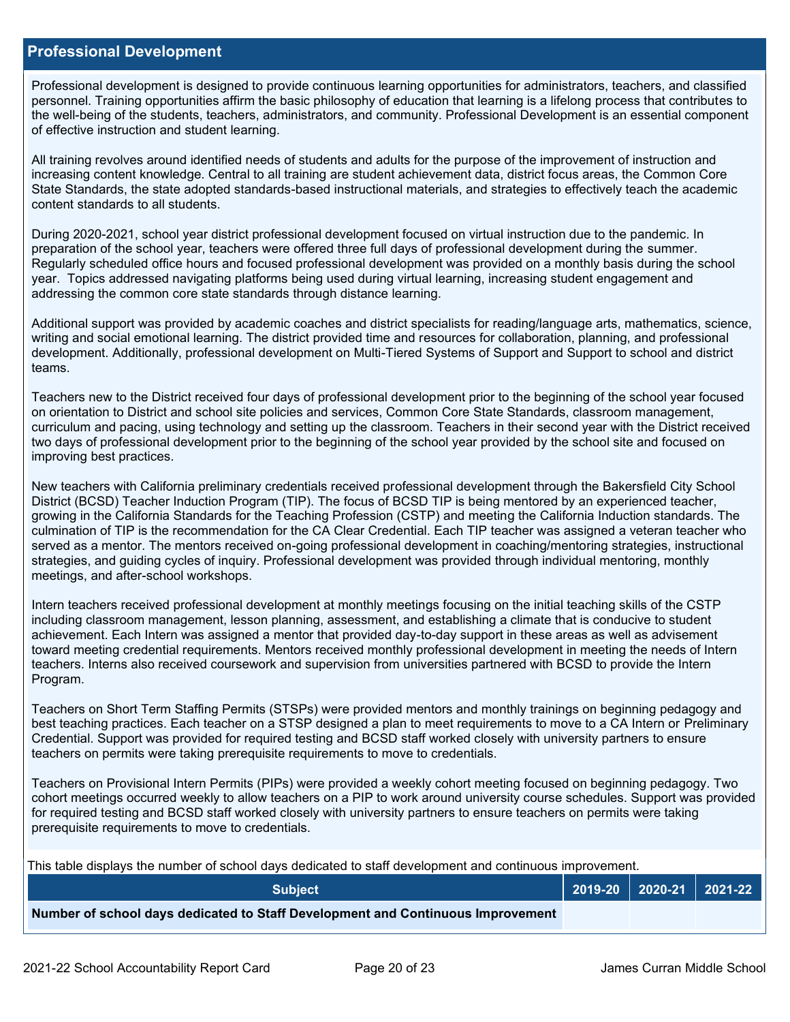#### **Professional Development**

Professional development is designed to provide continuous learning opportunities for administrators, teachers, and classified personnel. Training opportunities affirm the basic philosophy of education that learning is a lifelong process that contributes to the well-being of the students, teachers, administrators, and community. Professional Development is an essential component of effective instruction and student learning.

All training revolves around identified needs of students and adults for the purpose of the improvement of instruction and increasing content knowledge. Central to all training are student achievement data, district focus areas, the Common Core State Standards, the state adopted standards-based instructional materials, and strategies to effectively teach the academic content standards to all students.

During 2020-2021, school year district professional development focused on virtual instruction due to the pandemic. In preparation of the school year, teachers were offered three full days of professional development during the summer. Regularly scheduled office hours and focused professional development was provided on a monthly basis during the school year. Topics addressed navigating platforms being used during virtual learning, increasing student engagement and addressing the common core state standards through distance learning.

Additional support was provided by academic coaches and district specialists for reading/language arts, mathematics, science, writing and social emotional learning. The district provided time and resources for collaboration, planning, and professional development. Additionally, professional development on Multi-Tiered Systems of Support and Support to school and district teams.

Teachers new to the District received four days of professional development prior to the beginning of the school year focused on orientation to District and school site policies and services, Common Core State Standards, classroom management, curriculum and pacing, using technology and setting up the classroom. Teachers in their second year with the District received two days of professional development prior to the beginning of the school year provided by the school site and focused on improving best practices.

New teachers with California preliminary credentials received professional development through the Bakersfield City School District (BCSD) Teacher Induction Program (TIP). The focus of BCSD TIP is being mentored by an experienced teacher, growing in the California Standards for the Teaching Profession (CSTP) and meeting the California Induction standards. The culmination of TIP is the recommendation for the CA Clear Credential. Each TIP teacher was assigned a veteran teacher who served as a mentor. The mentors received on-going professional development in coaching/mentoring strategies, instructional strategies, and guiding cycles of inquiry. Professional development was provided through individual mentoring, monthly meetings, and after-school workshops.

Intern teachers received professional development at monthly meetings focusing on the initial teaching skills of the CSTP including classroom management, lesson planning, assessment, and establishing a climate that is conducive to student achievement. Each Intern was assigned a mentor that provided day-to-day support in these areas as well as advisement toward meeting credential requirements. Mentors received monthly professional development in meeting the needs of Intern teachers. Interns also received coursework and supervision from universities partnered with BCSD to provide the Intern Program.

Teachers on Short Term Staffing Permits (STSPs) were provided mentors and monthly trainings on beginning pedagogy and best teaching practices. Each teacher on a STSP designed a plan to meet requirements to move to a CA Intern or Preliminary Credential. Support was provided for required testing and BCSD staff worked closely with university partners to ensure teachers on permits were taking prerequisite requirements to move to credentials.

Teachers on Provisional Intern Permits (PIPs) were provided a weekly cohort meeting focused on beginning pedagogy. Two cohort meetings occurred weekly to allow teachers on a PIP to work around university course schedules. Support was provided for required testing and BCSD staff worked closely with university partners to ensure teachers on permits were taking prerequisite requirements to move to credentials.

This table displays the number of school days dedicated to staff development and continuous improvement.

| <b>Subiect</b>                                                                  |  | 2019-20   2020-21   2021-22 |
|---------------------------------------------------------------------------------|--|-----------------------------|
| Number of school days dedicated to Staff Development and Continuous Improvement |  |                             |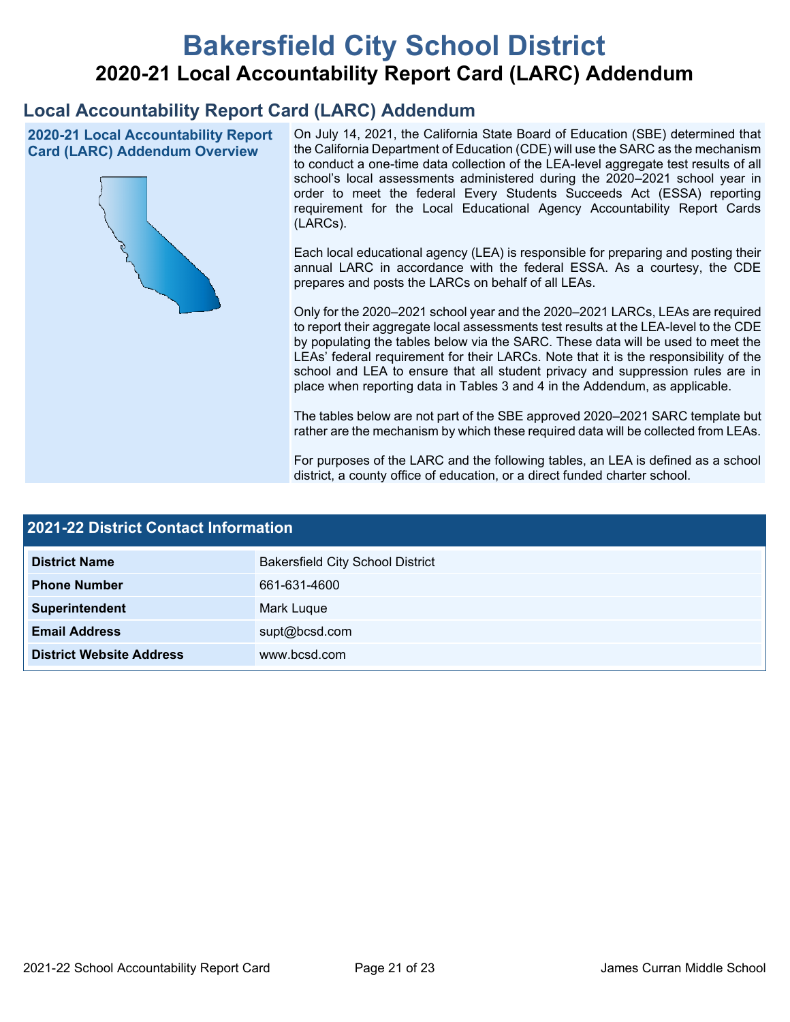# **Bakersfield City School District 2020-21 Local Accountability Report Card (LARC) Addendum**

# **Local Accountability Report Card (LARC) Addendum**

**2020-21 Local Accountability Report Card (LARC) Addendum Overview**



On July 14, 2021, the California State Board of Education (SBE) determined that the California Department of Education (CDE) will use the SARC as the mechanism to conduct a one-time data collection of the LEA-level aggregate test results of all school's local assessments administered during the 2020–2021 school year in order to meet the federal Every Students Succeeds Act (ESSA) reporting requirement for the Local Educational Agency Accountability Report Cards (LARCs).

Each local educational agency (LEA) is responsible for preparing and posting their annual LARC in accordance with the federal ESSA. As a courtesy, the CDE prepares and posts the LARCs on behalf of all LEAs.

Only for the 2020–2021 school year and the 2020–2021 LARCs, LEAs are required to report their aggregate local assessments test results at the LEA-level to the CDE by populating the tables below via the SARC. These data will be used to meet the LEAs' federal requirement for their LARCs. Note that it is the responsibility of the school and LEA to ensure that all student privacy and suppression rules are in place when reporting data in Tables 3 and 4 in the Addendum, as applicable.

The tables below are not part of the SBE approved 2020–2021 SARC template but rather are the mechanism by which these required data will be collected from LEAs.

For purposes of the LARC and the following tables, an LEA is defined as a school district, a county office of education, or a direct funded charter school.

| <b>2021-22 District Contact Information</b> |                                         |  |  |  |
|---------------------------------------------|-----------------------------------------|--|--|--|
| <b>District Name</b>                        | <b>Bakersfield City School District</b> |  |  |  |
| <b>Phone Number</b>                         | 661-631-4600                            |  |  |  |
| Superintendent                              | Mark Luque                              |  |  |  |
| <b>Email Address</b>                        | supt@bcsd.com                           |  |  |  |
| <b>District Website Address</b>             | www.bcsd.com                            |  |  |  |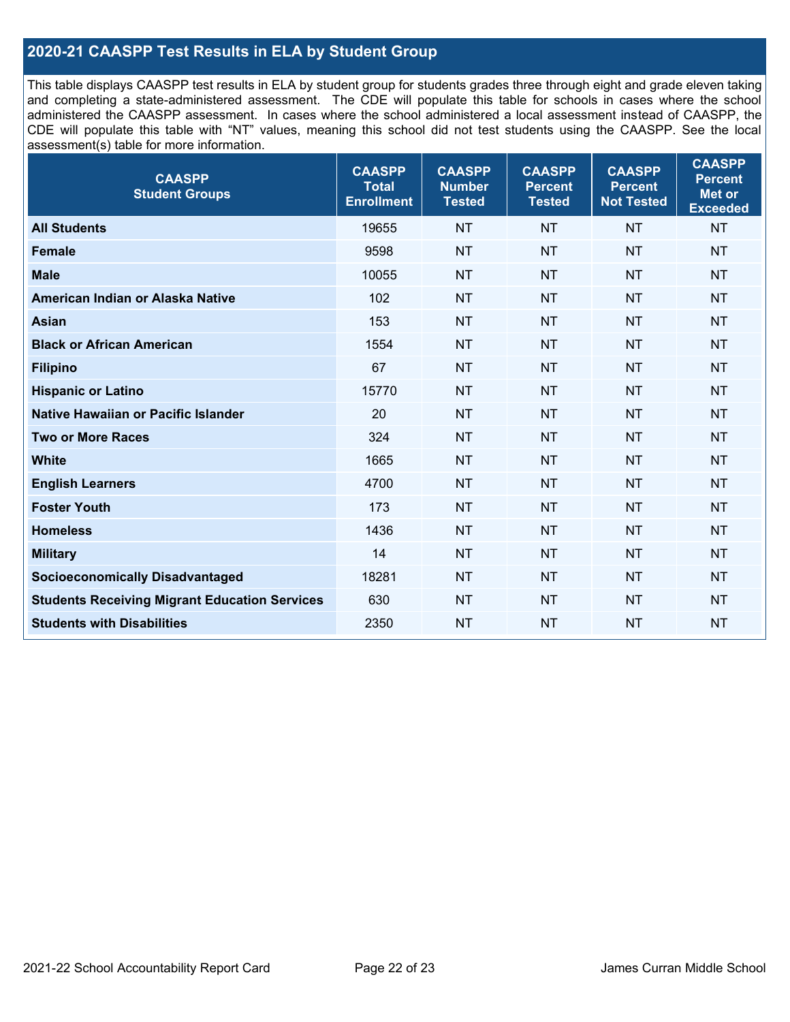# **2020-21 CAASPP Test Results in ELA by Student Group**

This table displays CAASPP test results in ELA by student group for students grades three through eight and grade eleven taking and completing a state-administered assessment. The CDE will populate this table for schools in cases where the school administered the CAASPP assessment. In cases where the school administered a local assessment instead of CAASPP, the CDE will populate this table with "NT" values, meaning this school did not test students using the CAASPP. See the local assessment(s) table for more information.

| <b>CAASPP</b><br><b>Student Groups</b>               | <b>CAASPP</b><br><b>Total</b><br><b>Enrollment</b> | <b>CAASPP</b><br><b>Number</b><br><b>Tested</b> | <b>CAASPP</b><br><b>Percent</b><br><b>Tested</b> | <b>CAASPP</b><br><b>Percent</b><br><b>Not Tested</b> | <b>CAASPP</b><br><b>Percent</b><br>Met or<br><b>Exceeded</b> |
|------------------------------------------------------|----------------------------------------------------|-------------------------------------------------|--------------------------------------------------|------------------------------------------------------|--------------------------------------------------------------|
| <b>All Students</b>                                  | 19655                                              | <b>NT</b>                                       | <b>NT</b>                                        | <b>NT</b>                                            | <b>NT</b>                                                    |
| <b>Female</b>                                        | 9598                                               | <b>NT</b>                                       | <b>NT</b>                                        | <b>NT</b>                                            | <b>NT</b>                                                    |
| <b>Male</b>                                          | 10055                                              | <b>NT</b>                                       | <b>NT</b>                                        | <b>NT</b>                                            | <b>NT</b>                                                    |
| American Indian or Alaska Native                     | 102                                                | <b>NT</b>                                       | <b>NT</b>                                        | <b>NT</b>                                            | <b>NT</b>                                                    |
| <b>Asian</b>                                         | 153                                                | <b>NT</b>                                       | <b>NT</b>                                        | <b>NT</b>                                            | <b>NT</b>                                                    |
| <b>Black or African American</b>                     | 1554                                               | <b>NT</b>                                       | <b>NT</b>                                        | <b>NT</b>                                            | NT                                                           |
| <b>Filipino</b>                                      | 67                                                 | <b>NT</b>                                       | <b>NT</b>                                        | <b>NT</b>                                            | <b>NT</b>                                                    |
| <b>Hispanic or Latino</b>                            | 15770                                              | <b>NT</b>                                       | <b>NT</b>                                        | <b>NT</b>                                            | <b>NT</b>                                                    |
| Native Hawaiian or Pacific Islander                  | 20                                                 | <b>NT</b>                                       | <b>NT</b>                                        | <b>NT</b>                                            | <b>NT</b>                                                    |
| <b>Two or More Races</b>                             | 324                                                | <b>NT</b>                                       | <b>NT</b>                                        | <b>NT</b>                                            | <b>NT</b>                                                    |
| <b>White</b>                                         | 1665                                               | <b>NT</b>                                       | <b>NT</b>                                        | <b>NT</b>                                            | <b>NT</b>                                                    |
| <b>English Learners</b>                              | 4700                                               | <b>NT</b>                                       | <b>NT</b>                                        | <b>NT</b>                                            | <b>NT</b>                                                    |
| <b>Foster Youth</b>                                  | 173                                                | <b>NT</b>                                       | <b>NT</b>                                        | <b>NT</b>                                            | <b>NT</b>                                                    |
| <b>Homeless</b>                                      | 1436                                               | <b>NT</b>                                       | <b>NT</b>                                        | <b>NT</b>                                            | <b>NT</b>                                                    |
| <b>Military</b>                                      | 14                                                 | <b>NT</b>                                       | <b>NT</b>                                        | <b>NT</b>                                            | <b>NT</b>                                                    |
| <b>Socioeconomically Disadvantaged</b>               | 18281                                              | <b>NT</b>                                       | <b>NT</b>                                        | <b>NT</b>                                            | <b>NT</b>                                                    |
| <b>Students Receiving Migrant Education Services</b> | 630                                                | <b>NT</b>                                       | <b>NT</b>                                        | <b>NT</b>                                            | NT                                                           |
| <b>Students with Disabilities</b>                    | 2350                                               | <b>NT</b>                                       | <b>NT</b>                                        | <b>NT</b>                                            | NT                                                           |